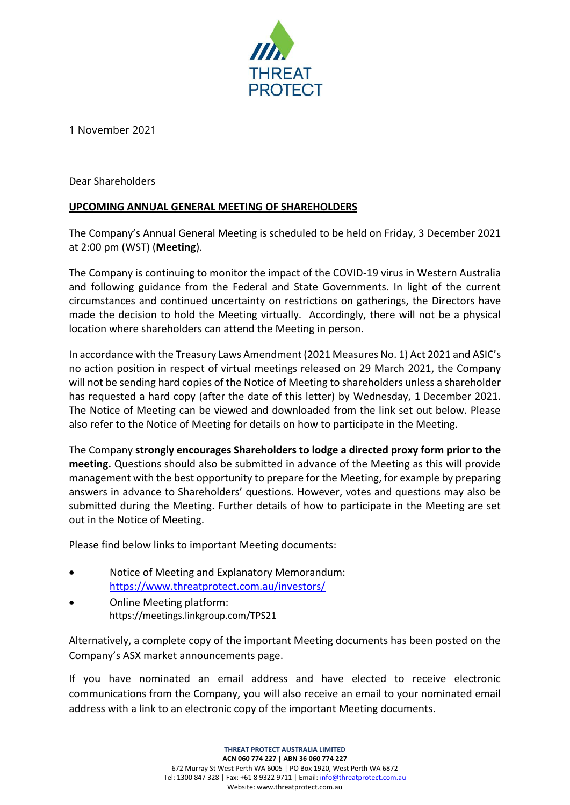

1 November 2021

Dear Shareholders

# **UPCOMING ANNUAL GENERAL MEETING OF SHAREHOLDERS**

The Company's Annual General Meeting is scheduled to be held on Friday, 3 December 2021 at 2:00 pm (WST) (**Meeting**).

The Company is continuing to monitor the impact of the COVID-19 virus in Western Australia and following guidance from the Federal and State Governments. In light of the current circumstances and continued uncertainty on restrictions on gatherings, the Directors have made the decision to hold the Meeting virtually. Accordingly, there will not be a physical location where shareholders can attend the Meeting in person.

In accordance with the Treasury Laws Amendment (2021 Measures No. 1) Act 2021 and ASIC's no action position in respect of virtual meetings released on 29 March 2021, the Company will not be sending hard copies of the Notice of Meeting to shareholders unless a shareholder has requested a hard copy (after the date of this letter) by Wednesday, 1 December 2021. The Notice of Meeting can be viewed and downloaded from the link set out below. Please also refer to the Notice of Meeting for details on how to participate in the Meeting.

The Company **strongly encourages Shareholders to lodge a directed proxy form prior to the meeting.** Questions should also be submitted in advance of the Meeting as this will provide management with the best opportunity to prepare for the Meeting, for example by preparing answers in advance to Shareholders' questions. However, votes and questions may also be submitted during the Meeting. Further details of how to participate in the Meeting are set out in the Notice of Meeting.

Please find below links to important Meeting documents:

- Notice of Meeting and Explanatory Memorandum: <https://www.threatprotect.com.au/investors/>
- Online Meeting platform: https://meetings.linkgroup.com/TPS21

Alternatively, a complete copy of the important Meeting documents has been posted on the Company's ASX market announcements page.

If you have nominated an email address and have elected to receive electronic communications from the Company, you will also receive an email to your nominated email address with a link to an electronic copy of the important Meeting documents.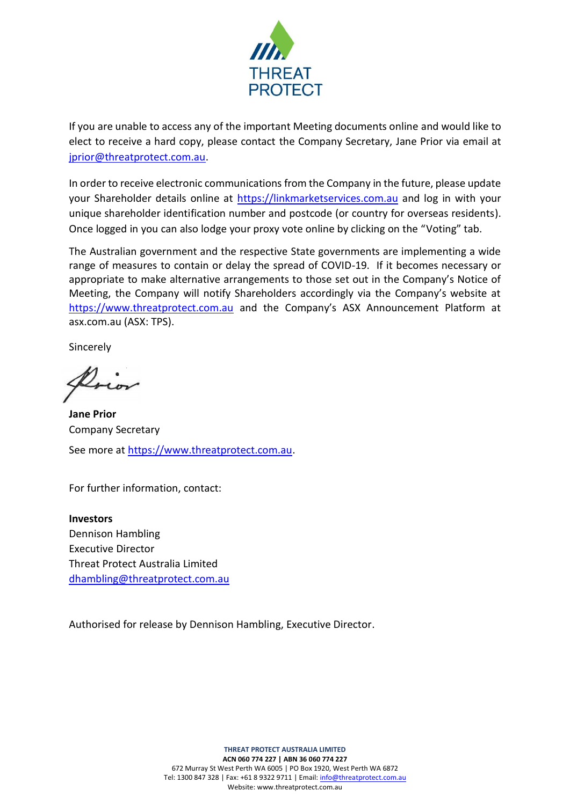

If you are unable to access any of the important Meeting documents online and would like to elect to receive a hard copy, please contact the Company Secretary, Jane Prior via email at [jprior@threatprotect.com.au.](mailto:jprior@threatprotect.com.au)

In order to receive electronic communications from the Company in the future, please update your Shareholder details online at [https://linkmarketservices.com.au](https://investor.automic.com.au/#/home) and log in with your unique shareholder identification number and postcode (or country for overseas residents). Once logged in you can also lodge your proxy vote online by clicking on the "Voting" tab.

The Australian government and the respective State governments are implementing a wide range of measures to contain or delay the spread of COVID-19. If it becomes necessary or appropriate to make alternative arrangements to those set out in the Company's Notice of Meeting, the Company will notify Shareholders accordingly via the Company's website at [https://www.threatprotect.com.au](https://www.threatprotect.com.au/) and the Company's ASX Announcement Platform at asx.com.au (ASX: TPS).

Sincerely

**Jane Prior** Company Secretary See more at [https://www.threatprotect.com.au.](https://www.threatprotect.com.au/)

For further information, contact:

**Investors** Dennison Hambling Executive Director Threat Protect Australia Limited [dhambling@threatprotect.com.au](mailto:dhambling@threatprotect.com.au)

Authorised for release by Dennison Hambling, Executive Director.

**THREAT PROTECT AUSTRALIA LIMITED ACN 060 774 227 | ABN 36 060 774 227** 672 Murray St West Perth WA 6005 | PO Box 1920, West Perth WA 6872 Tel: 1300 847 328 | Fax: +61 8 9322 9711 | Email[: info@threatprotect.com.au](mailto:info@threatprotect.com.au) Website: www.threatprotect.com.au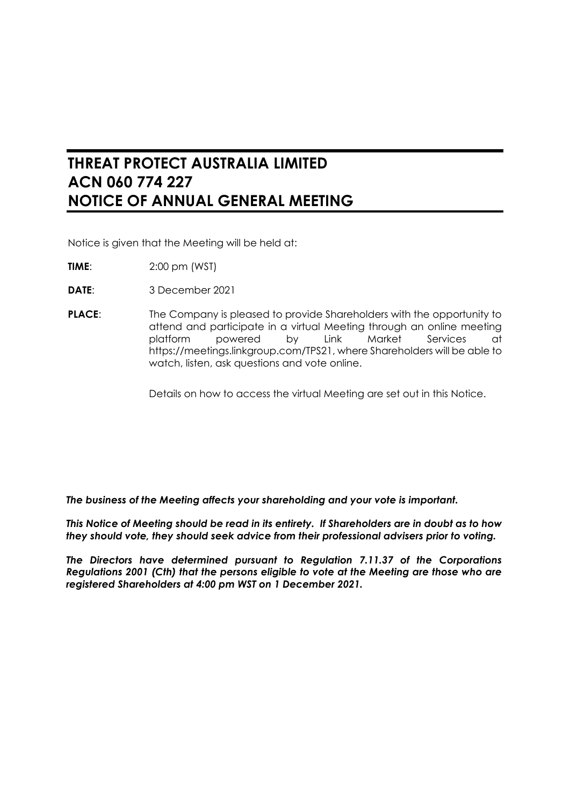# **THREAT PROTECT AUSTRALIA LIMITED ACN 060 774 227 NOTICE OF ANNUAL GENERAL MEETING**

Notice is given that the Meeting will be held at:

- **TIME**: 2:00 pm (WST)
- **DATE**: 3 December 2021
- **PLACE:** The Company is pleased to provide Shareholders with the opportunity to attend and participate in a virtual Meeting through an online meeting platform powered by Link Market Services at https://meetings.linkgroup.com/TPS21, where Shareholders will be able to watch, listen, ask questions and vote online.

Details on how to access the virtual Meeting are set out in this Notice.

*The business of the Meeting affects your shareholding and your vote is important.*

*This Notice of Meeting should be read in its entirety. If Shareholders are in doubt as to how they should vote, they should seek advice from their professional advisers prior to voting.*

*The Directors have determined pursuant to Regulation 7.11.37 of the Corporations Regulations 2001 (Cth) that the persons eligible to vote at the Meeting are those who are registered Shareholders at 4:00 pm WST on 1 December 2021.*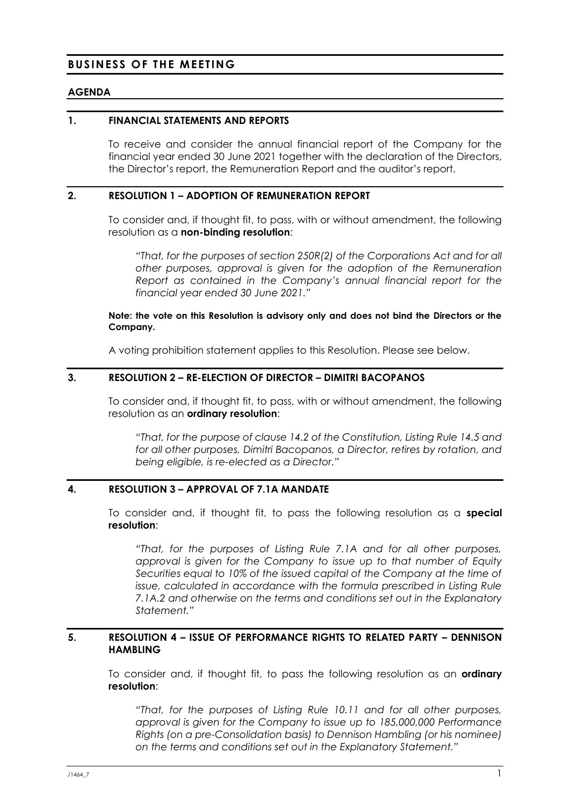# **BUSINESS OF THE MEETING**

# **AGENDA**

# **1. FINANCIAL STATEMENTS AND REPORTS**

To receive and consider the annual financial report of the Company for the financial year ended 30 June 2021 together with the declaration of the Directors, the Director's report, the Remuneration Report and the auditor's report.

# **2. RESOLUTION 1 – ADOPTION OF REMUNERATION REPORT**

To consider and, if thought fit, to pass, with or without amendment, the following resolution as a **non-binding resolution**:

*"That, for the purposes of section 250R(2) of the Corporations Act and for all other purposes, approval is given for the adoption of the Remuneration Report as contained in the Company's annual financial report for the financial year ended 30 June 2021."*

**Note: the vote on this Resolution is advisory only and does not bind the Directors or the Company.**

A voting prohibition statement applies to this Resolution. Please see below.

# **3. RESOLUTION 2 – RE-ELECTION OF DIRECTOR – DIMITRI BACOPANOS**

To consider and, if thought fit, to pass, with or without amendment, the following resolution as an **ordinary resolution**:

*"That, for the purpose of clause 14.2 of the Constitution, Listing Rule 14.5 and for all other purposes, Dimitri Bacopanos, a Director, retires by rotation, and being eligible, is re-elected as a Director."*

# **4. RESOLUTION 3 – APPROVAL OF 7.1A MANDATE**

To consider and, if thought fit, to pass the following resolution as a **special resolution**:

*"That, for the purposes of Listing Rule 7.1A and for all other purposes, approval is given for the Company to issue up to that number of Equity Securities equal to 10% of the issued capital of the Company at the time of issue, calculated in accordance with the formula prescribed in Listing Rule 7.1A.2 and otherwise on the terms and conditions set out in the Explanatory Statement."*

# **5. RESOLUTION 4 – ISSUE OF PERFORMANCE RIGHTS TO RELATED PARTY – DENNISON HAMBLING**

To consider and, if thought fit, to pass the following resolution as an **ordinary resolution**:

*"That, for the purposes of Listing Rule 10.11 and for all other purposes, approval is given for the Company to issue up to 185,000,000 Performance Rights (on a pre-Consolidation basis) to Dennison Hambling (or his nominee) on the terms and conditions set out in the Explanatory Statement."*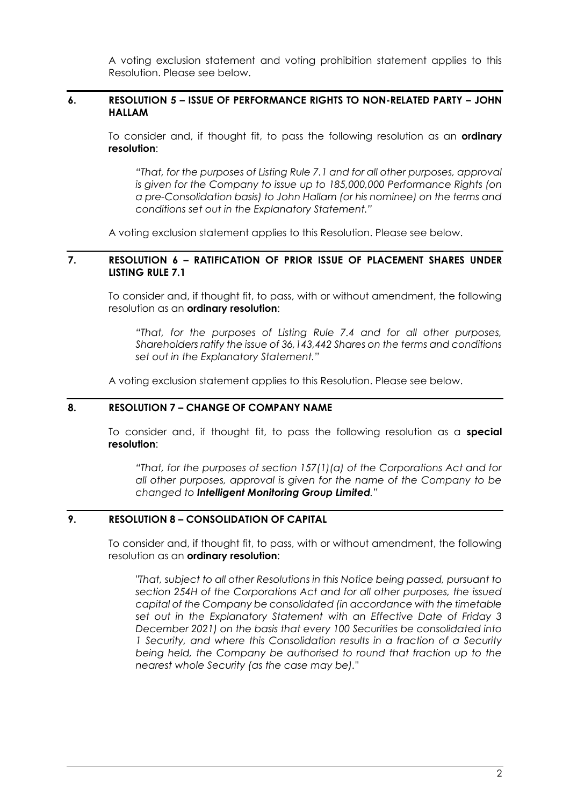A voting exclusion statement and voting prohibition statement applies to this Resolution. Please see below.

# **6. RESOLUTION 5 – ISSUE OF PERFORMANCE RIGHTS TO NON-RELATED PARTY – JOHN HALLAM**

To consider and, if thought fit, to pass the following resolution as an **ordinary resolution**:

*"That, for the purposes of Listing Rule 7.1 and for all other purposes, approval is given for the Company to issue up to 185,000,000 Performance Rights (on a pre-Consolidation basis) to John Hallam (or his nominee) on the terms and conditions set out in the Explanatory Statement."*

A voting exclusion statement applies to this Resolution. Please see below.

# **7. RESOLUTION 6 – RATIFICATION OF PRIOR ISSUE OF PLACEMENT SHARES UNDER LISTING RULE 7.1**

To consider and, if thought fit, to pass, with or without amendment, the following resolution as an **ordinary resolution**:

*"That, for the purposes of Listing Rule 7.4 and for all other purposes, Shareholders ratify the issue of 36,143,442 Shares on the terms and conditions set out in the Explanatory Statement."*

A voting exclusion statement applies to this Resolution. Please see below.

# **8. RESOLUTION 7 – CHANGE OF COMPANY NAME**

To consider and, if thought fit, to pass the following resolution as a **special resolution**:

*"That, for the purposes of section 157(1)(a) of the Corporations Act and for all other purposes, approval is given for the name of the Company to be changed to Intelligent Monitoring Group Limited."*

# **9. RESOLUTION 8 – CONSOLIDATION OF CAPITAL**

To consider and, if thought fit, to pass, with or without amendment, the following resolution as an **ordinary resolution**:

*"That, subject to all other Resolutions in this Notice being passed, pursuant to section 254H of the Corporations Act and for all other purposes, the issued capital of the Company be consolidated (in accordance with the timetable set out in the Explanatory Statement with an Effective Date of Friday 3 December 2021) on the basis that every 100 Securities be consolidated into 1 Security, and where this Consolidation results in a fraction of a Security being held, the Company be authorised to round that fraction up to the nearest whole Security (as the case may be)."*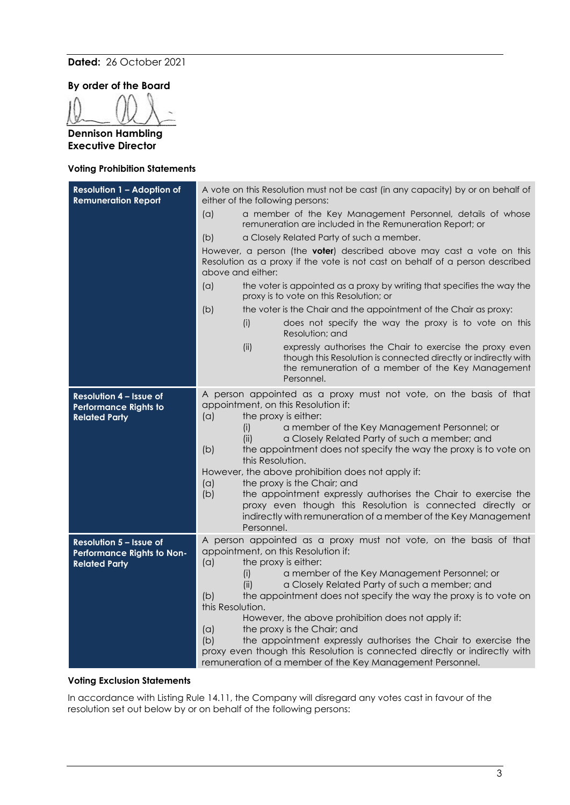### **Dated:** 26 October 2021

**By order of the Board**

**Dennison Hambling Executive Director**

#### **Voting Prohibition Statements**

| <b>Resolution 1 - Adoption of</b><br><b>Remuneration Report</b>                        | A vote on this Resolution must not be cast (in any capacity) by or on behalf of<br>either of the following persons:                                                                                                                                                                                                                                                                                                                                                                                                                                                                                                                                                      |  |  |
|----------------------------------------------------------------------------------------|--------------------------------------------------------------------------------------------------------------------------------------------------------------------------------------------------------------------------------------------------------------------------------------------------------------------------------------------------------------------------------------------------------------------------------------------------------------------------------------------------------------------------------------------------------------------------------------------------------------------------------------------------------------------------|--|--|
|                                                                                        | a member of the Key Management Personnel, details of whose<br>(a)<br>remuneration are included in the Remuneration Report; or                                                                                                                                                                                                                                                                                                                                                                                                                                                                                                                                            |  |  |
|                                                                                        | a Closely Related Party of such a member.<br>(b)                                                                                                                                                                                                                                                                                                                                                                                                                                                                                                                                                                                                                         |  |  |
|                                                                                        | However, a person (the <b>voter</b> ) described above may cast a vote on this<br>Resolution as a proxy if the vote is not cast on behalf of a person described<br>above and either:                                                                                                                                                                                                                                                                                                                                                                                                                                                                                      |  |  |
|                                                                                        | (a)<br>the voter is appointed as a proxy by writing that specifies the way the<br>proxy is to vote on this Resolution; or                                                                                                                                                                                                                                                                                                                                                                                                                                                                                                                                                |  |  |
|                                                                                        | the voter is the Chair and the appointment of the Chair as proxy:<br>(b)                                                                                                                                                                                                                                                                                                                                                                                                                                                                                                                                                                                                 |  |  |
|                                                                                        | does not specify the way the proxy is to vote on this<br>(i)<br>Resolution; and                                                                                                                                                                                                                                                                                                                                                                                                                                                                                                                                                                                          |  |  |
|                                                                                        | expressly authorises the Chair to exercise the proxy even<br>(ii)<br>though this Resolution is connected directly or indirectly with<br>the remuneration of a member of the Key Management<br>Personnel.                                                                                                                                                                                                                                                                                                                                                                                                                                                                 |  |  |
| <b>Resolution 4 - Issue of</b><br><b>Performance Rights to</b><br><b>Related Party</b> | A person appointed as a proxy must not vote, on the basis of that<br>appointment, on this Resolution if:<br>the proxy is either:<br>(a)<br>a member of the Key Management Personnel; or<br>(i)<br>a Closely Related Party of such a member; and<br>(ii)<br>(b)<br>the appointment does not specify the way the proxy is to vote on<br>this Resolution.<br>However, the above prohibition does not apply if:<br>the proxy is the Chair; and<br>(a)<br>(b)<br>the appointment expressly authorises the Chair to exercise the<br>proxy even though this Resolution is connected directly or<br>indirectly with remuneration of a member of the Key Management<br>Personnel. |  |  |
| Resolution 5 - Issue of<br>Performance Rights to Non-<br><b>Related Party</b>          | A person appointed as a proxy must not vote, on the basis of that<br>appointment, on this Resolution if:<br>the proxy is either:<br>(a)<br>a member of the Key Management Personnel; or<br>(i)<br>a Closely Related Party of such a member; and<br>(ii)<br>the appointment does not specify the way the proxy is to vote on<br>(b)<br>this Resolution.<br>However, the above prohibition does not apply if:<br>the proxy is the Chair; and<br>(a)<br>(b)<br>the appointment expressly authorises the Chair to exercise the<br>proxy even though this Resolution is connected directly or indirectly with<br>remuneration of a member of the Key Management Personnel.    |  |  |

#### **Voting Exclusion Statements**

In accordance with Listing Rule 14.11, the Company will disregard any votes cast in favour of the resolution set out below by or on behalf of the following persons: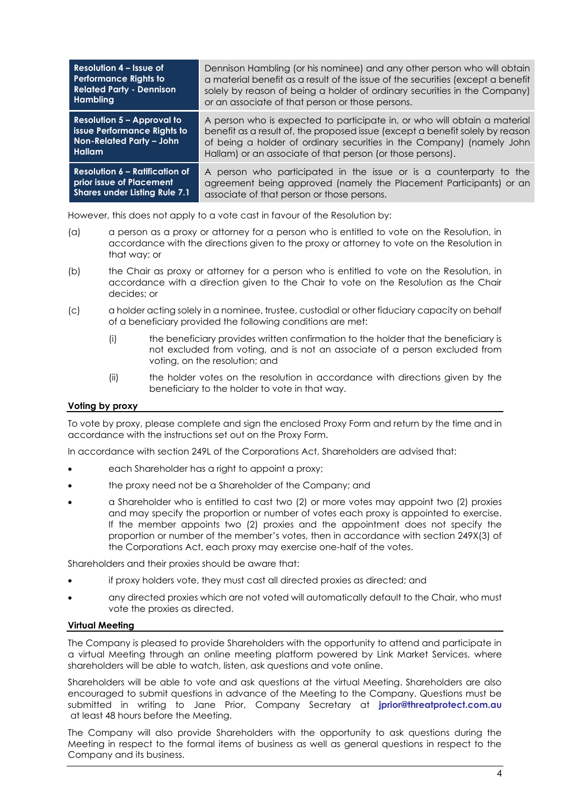| Resolution 4 – Issue of               | Dennison Hambling (or his nominee) and any other person who will obtain         |
|---------------------------------------|---------------------------------------------------------------------------------|
| <b>Performance Rights to</b>          | a material benefit as a result of the issue of the securities (except a benefit |
| <b>Related Party - Dennison</b>       | solely by reason of being a holder of ordinary securities in the Company)       |
| Hambling                              | or an associate of that person or those persons.                                |
| <b>Resolution 5 - Approval to</b>     | A person who is expected to participate in, or who will obtain a material       |
| <b>issue Performance Rights to</b>    | benefit as a result of, the proposed issue (except a benefit solely by reason   |
| Non-Related Party - John              | of being a holder of ordinary securities in the Company) (namely John           |
| <b>Hallam</b>                         | Hallam) or an associate of that person (or those persons).                      |
| <b>Resolution 6 - Ratification of</b> | A person who participated in the issue or is a counterparty to the              |
| prior issue of Placement              | agreement being approved (namely the Placement Participants) or an              |
| <b>Shares under Listing Rule 7.1</b>  | associate of that person or those persons.                                      |

However, this does not apply to a vote cast in favour of the Resolution by:

- (a) a person as a proxy or attorney for a person who is entitled to vote on the Resolution, in accordance with the directions given to the proxy or attorney to vote on the Resolution in that way; or
- (b) the Chair as proxy or attorney for a person who is entitled to vote on the Resolution, in accordance with a direction given to the Chair to vote on the Resolution as the Chair decides; or
- (c) a holder acting solely in a nominee, trustee, custodial or other fiduciary capacity on behalf of a beneficiary provided the following conditions are met:
	- (i) the beneficiary provides written confirmation to the holder that the beneficiary is not excluded from voting, and is not an associate of a person excluded from voting, on the resolution; and
	- (ii) the holder votes on the resolution in accordance with directions given by the beneficiary to the holder to vote in that way.

# **Voting by proxy**

To vote by proxy, please complete and sign the enclosed Proxy Form and return by the time and in accordance with the instructions set out on the Proxy Form.

In accordance with section 249L of the Corporations Act, Shareholders are advised that:

- each Shareholder has a right to appoint a proxy;
- the proxy need not be a Shareholder of the Company; and
- a Shareholder who is entitled to cast two (2) or more votes may appoint two (2) proxies and may specify the proportion or number of votes each proxy is appointed to exercise. If the member appoints two (2) proxies and the appointment does not specify the proportion or number of the member's votes, then in accordance with section 249X(3) of the Corporations Act, each proxy may exercise one-half of the votes.

Shareholders and their proxies should be aware that:

- if proxy holders vote, they must cast all directed proxies as directed; and
- any directed proxies which are not voted will automatically default to the Chair, who must vote the proxies as directed.

### **Virtual Meeting**

The Company is pleased to provide Shareholders with the opportunity to attend and participate in a virtual Meeting through an online meeting platform powered by Link Market Services, where shareholders will be able to watch, listen, ask questions and vote online.

Shareholders will be able to vote and ask questions at the virtual Meeting. Shareholders are also encouraged to submit questions in advance of the Meeting to the Company. Questions must be submitted in writing to Jane Prior, Company Secretary at **[jprior@threatprotect.com.au](mailto:jprior@threatprotect.com.au)** at least 48 hours before the Meeting.

The Company will also provide Shareholders with the opportunity to ask questions during the Meeting in respect to the formal items of business as well as general questions in respect to the Company and its business.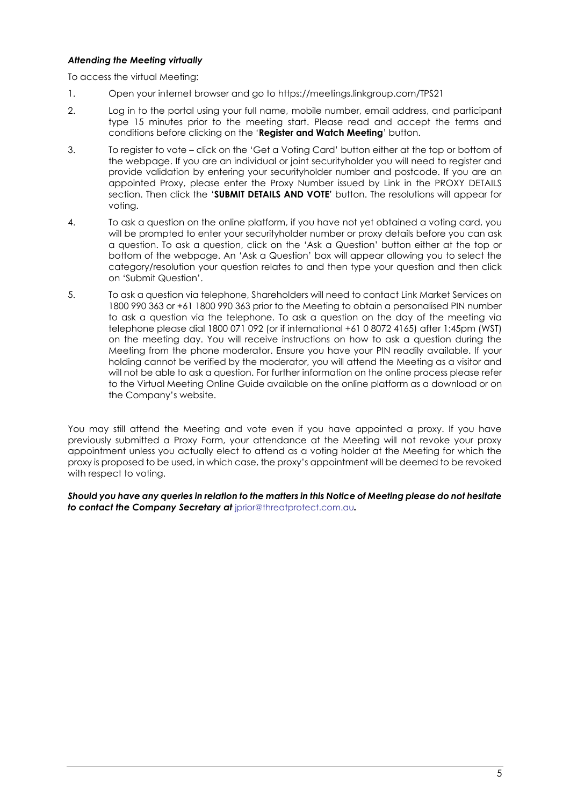### *Attending the Meeting virtually*

To access the virtual Meeting:

- 1. Open your internet browser and go to https://meetings.linkgroup.com/TPS21
- 2. Log in to the portal using your full name, mobile number, email address, and participant type 15 minutes prior to the meeting start. Please read and accept the terms and conditions before clicking on the '**Register and Watch Meeting**' button.
- 3. To register to vote click on the 'Get a Voting Card' button either at the top or bottom of the webpage. If you are an individual or joint securityholder you will need to register and provide validation by entering your securityholder number and postcode. If you are an appointed Proxy, please enter the Proxy Number issued by Link in the PROXY DETAILS section. Then click the '**SUBMIT DETAILS AND VOTE'** button. The resolutions will appear for voting.
- 4. To ask a question on the online platform, if you have not yet obtained a voting card, you will be prompted to enter your securityholder number or proxy details before you can ask a question. To ask a question, click on the 'Ask a Question' button either at the top or bottom of the webpage. An 'Ask a Question' box will appear allowing you to select the category/resolution your question relates to and then type your question and then click on 'Submit Question'.
- 5. To ask a question via telephone, Shareholders will need to contact Link Market Services on 1800 990 363 or +61 1800 990 363 prior to the Meeting to obtain a personalised PIN number to ask a question via the telephone. To ask a question on the day of the meeting via telephone please dial 1800 071 092 (or if international +61 0 8072 4165) after 1:45pm (WST) on the meeting day. You will receive instructions on how to ask a question during the Meeting from the phone moderator. Ensure you have your PIN readily available. If your holding cannot be verified by the moderator, you will attend the Meeting as a visitor and will not be able to ask a question. For further information on the online process please refer to the Virtual Meeting Online Guide available on the online platform as a download or on the Company's website.

You may still attend the Meeting and vote even if you have appointed a proxy. If you have previously submitted a Proxy Form, your attendance at the Meeting will not revoke your proxy appointment unless you actually elect to attend as a voting holder at the Meeting for which the proxy is proposed to be used, in which case, the proxy's appointment will be deemed to be revoked with respect to voting.

*Should you have any queries in relation to the matters in this Notice of Meeting please do not hesitate to contact the Company Secretary at* [jprior@threatprotect.com.au](mailto:jprior@threatprotect.com.au)*.*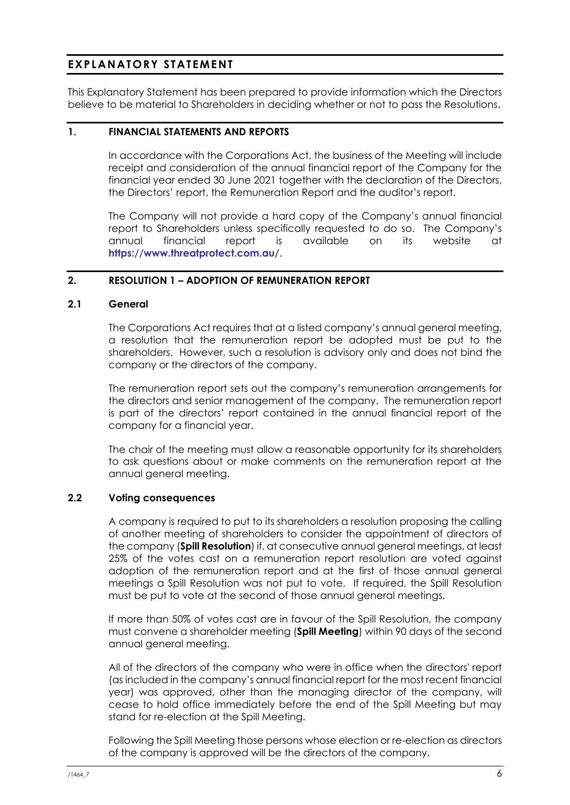# **EXPLANATORY STATEMENT**

This Explanatory Statement has been prepared to provide information which the Directors believe to be material to Shareholders in deciding whether or not to pass the Resolutions.

# **1. FINANCIAL STATEMENTS AND REPORTS**

In accordance with the Corporations Act, the business of the Meeting will include receipt and consideration of the annual financial report of the Company for the financial year ended 30 June 2021 together with the declaration of the Directors, the Directors' report, the Remuneration Report and the auditor's report.

The Company will not provide a hard copy of the Company's annual financial report to Shareholders unless specifically requested to do so. The Company's annual financial report is available on its website at **<https://www.threatprotect.com.au/>**.

# **2. RESOLUTION 1 – ADOPTION OF REMUNERATION REPORT**

## **2.1 General**

The Corporations Act requires that at a listed company's annual general meeting, a resolution that the remuneration report be adopted must be put to the shareholders. However, such a resolution is advisory only and does not bind the company or the directors of the company.

The remuneration report sets out the company's remuneration arrangements for the directors and senior management of the company. The remuneration report is part of the directors' report contained in the annual financial report of the company for a financial year.

The chair of the meeting must allow a reasonable opportunity for its shareholders to ask questions about or make comments on the remuneration report at the annual general meeting.

# **2.2 Voting consequences**

A company is required to put to its shareholders a resolution proposing the calling of another meeting of shareholders to consider the appointment of directors of the company (**Spill Resolution**) if, at consecutive annual general meetings, at least 25% of the votes cast on a remuneration report resolution are voted against adoption of the remuneration report and at the first of those annual general meetings a Spill Resolution was not put to vote. If required, the Spill Resolution must be put to vote at the second of those annual general meetings.

If more than 50% of votes cast are in favour of the Spill Resolution, the company must convene a shareholder meeting (**Spill Meeting**) within 90 days of the second annual general meeting.

All of the directors of the company who were in office when the directors' report (as included in the company's annual financial report for the most recent financial year) was approved, other than the managing director of the company, will cease to hold office immediately before the end of the Spill Meeting but may stand for re-election at the Spill Meeting.

Following the Spill Meeting those persons whose election or re-election as directors of the company is approved will be the directors of the company.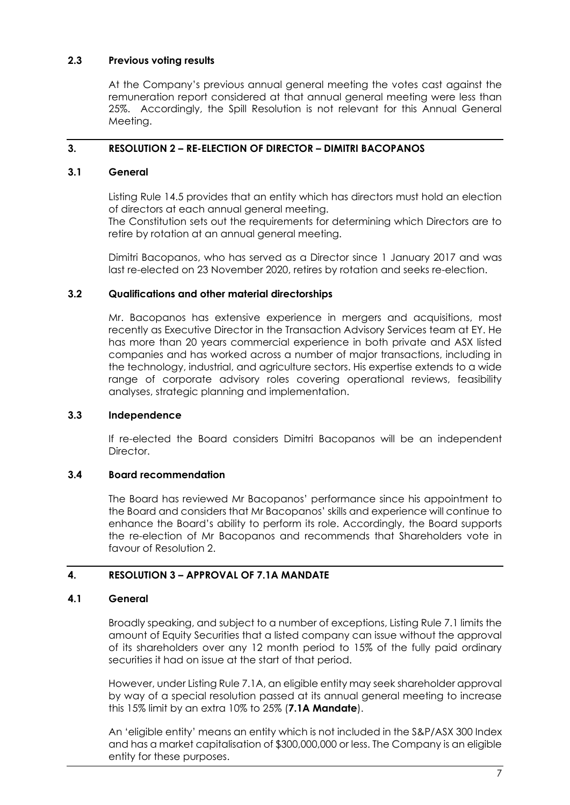# **2.3 Previous voting results**

At the Company's previous annual general meeting the votes cast against the remuneration report considered at that annual general meeting were less than 25%. Accordingly, the Spill Resolution is not relevant for this Annual General Meeting.

# **3. RESOLUTION 2 – RE-ELECTION OF DIRECTOR – DIMITRI BACOPANOS**

# **3.1 General**

Listing Rule 14.5 provides that an entity which has directors must hold an election of directors at each annual general meeting.

The Constitution sets out the requirements for determining which Directors are to retire by rotation at an annual general meeting.

Dimitri Bacopanos, who has served as a Director since 1 January 2017 and was last re-elected on 23 November 2020, retires by rotation and seeks re-election.

# **3.2 Qualifications and other material directorships**

Mr. Bacopanos has extensive experience in mergers and acquisitions, most recently as Executive Director in the Transaction Advisory Services team at EY. He has more than 20 years commercial experience in both private and ASX listed companies and has worked across a number of major transactions, including in the technology, industrial, and agriculture sectors. His expertise extends to a wide range of corporate advisory roles covering operational reviews, feasibility analyses, strategic planning and implementation.

# **3.3 Independence**

If re-elected the Board considers Dimitri Bacopanos will be an independent Director.

# **3.4 Board recommendation**

The Board has reviewed Mr Bacopanos' performance since his appointment to the Board and considers that Mr Bacopanos' skills and experience will continue to enhance the Board's ability to perform its role. Accordingly, the Board supports the re-election of Mr Bacopanos and recommends that Shareholders vote in favour of Resolution 2.

# **4. RESOLUTION 3 – APPROVAL OF 7.1A MANDATE**

# <span id="page-9-0"></span>**4.1 General**

Broadly speaking, and subject to a number of exceptions, Listing Rule 7.1 limits the amount of Equity Securities that a listed company can issue without the approval of its shareholders over any 12 month period to 15% of the fully paid ordinary securities it had on issue at the start of that period.

However, under Listing Rule 7.1A, an eligible entity may seek shareholder approval by way of a special resolution passed at its annual general meeting to increase this 15% limit by an extra 10% to 25% (**7.1A Mandate**).

An 'eligible entity' means an entity which is not included in the S&P/ASX 300 Index and has a market capitalisation of \$300,000,000 or less. The Company is an eligible entity for these purposes.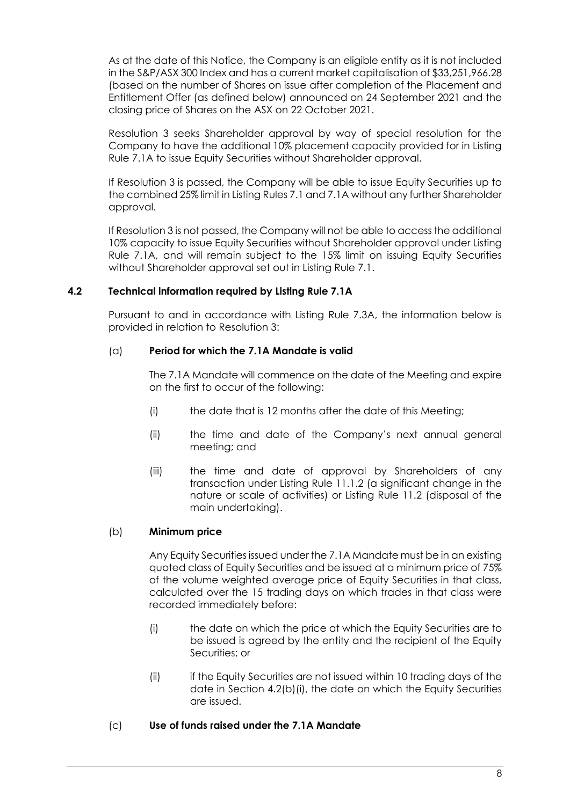As at the date of this Notice, the Company is an eligible entity as it is not included in the S&P/ASX 300 Index and has a current market capitalisation of \$33,251,966.28 (based on the number of Shares on issue after completion of the Placement and Entitlement Offer (as defined below) announced on 24 September 2021 and the closing price of Shares on the ASX on 22 October 2021.

Resolution 3 seeks Shareholder approval by way of special resolution for the Company to have the additional 10% placement capacity provided for in Listing Rule 7.1A to issue Equity Securities without Shareholder approval.

If Resolution 3 is passed, the Company will be able to issue Equity Securities up to the combined 25% limit in Listing Rules 7.1 and 7.1A without any further Shareholder approval.

If Resolution 3 is not passed, the Company will not be able to access the additional 10% capacity to issue Equity Securities without Shareholder approval under Listing Rule 7.1A, and will remain subject to the 15% limit on issuing Equity Securities without Shareholder approval set out in Listing Rule 7.1.

# **4.2 Technical information required by Listing Rule 7.1A**

Pursuant to and in accordance with Listing Rule 7.3A, the information below is provided in relation to Resolution 3:

# (a) **Period for which the 7.1A Mandate is valid**

The 7.1A Mandate will commence on the date of the Meeting and expire on the first to occur of the following:

- (i) the date that is 12 months after the date of this Meeting;
- (ii) the time and date of the Company's next annual general meeting; and
- (iii) the time and date of approval by Shareholders of any transaction under Listing Rule 11.1.2 (a significant change in the nature or scale of activities) or Listing Rule 11.2 (disposal of the main undertaking).

# (b) **Minimum price**

Any Equity Securities issued under the 7.1A Mandate must be in an existing quoted class of Equity Securities and be issued at a minimum price of 75% of the volume weighted average price of Equity Securities in that class, calculated over the 15 trading days on which trades in that class were recorded immediately before:

- <span id="page-10-0"></span>(i) the date on which the price at which the Equity Securities are to be issued is agreed by the entity and the recipient of the Equity Securities; or
- (ii) if the Equity Securities are not issued within 10 trading days of the date in Section [4.2\(b\)\(i\),](#page-10-0) the date on which the Equity Securities are issued.
- (c) **Use of funds raised under the 7.1A Mandate**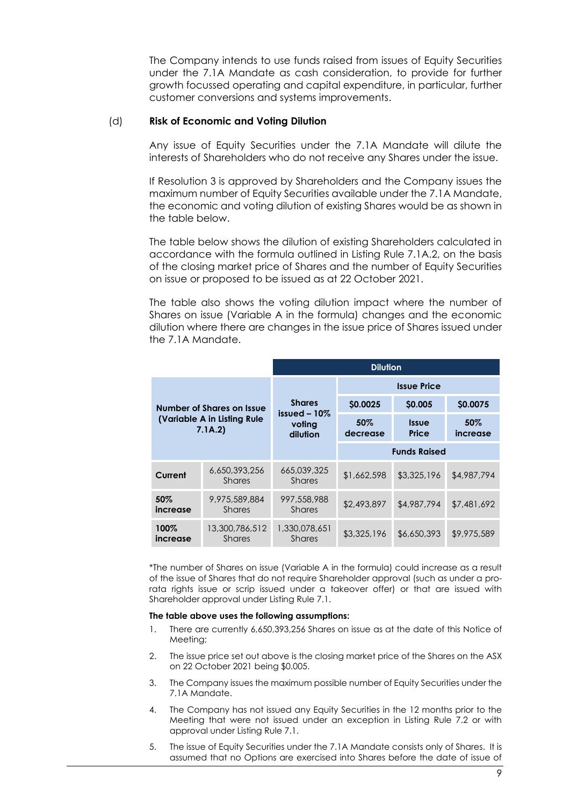The Company intends to use funds raised from issues of Equity Securities under the 7.1A Mandate as cash consideration, to provide for further growth focussed operating and capital expenditure, in particular, further customer conversions and systems improvements.

### (d) **Risk of Economic and Voting Dilution**

Any issue of Equity Securities under the 7.1A Mandate will dilute the interests of Shareholders who do not receive any Shares under the issue.

If Resolution 3 is approved by Shareholders and the Company issues the maximum number of Equity Securities available under the 7.1A Mandate, the economic and voting dilution of existing Shares would be as shown in the table below.

The table below shows the dilution of existing Shareholders calculated in accordance with the formula outlined in Listing Rule 7.1A.2, on the basis of the closing market price of Shares and the number of Equity Securities on issue or proposed to be issued as at 22 October 2021.

The table also shows the voting dilution impact where the number of Shares on issue (Variable A in the formula) changes and the economic dilution where there are changes in the issue price of Shares issued under the 7.1A Mandate.

|                                                                      |                                 | <b>Dilution</b>                                       |                     |                       |                    |  |
|----------------------------------------------------------------------|---------------------------------|-------------------------------------------------------|---------------------|-----------------------|--------------------|--|
| Number of Shares on Issue<br>(Variable A in Listing Rule)<br>7.1A.2) |                                 | <b>Issue Price</b>                                    |                     |                       |                    |  |
|                                                                      |                                 | <b>Shares</b><br>issued $-10\%$<br>voting<br>dilution | \$0.0025            | \$0.005               | \$0.0075           |  |
|                                                                      |                                 |                                                       | $50\%$<br>decrease  | <b>Issue</b><br>Price | $50\%$<br>increase |  |
|                                                                      |                                 |                                                       | <b>Funds Raised</b> |                       |                    |  |
| Current                                                              | 6,650,393,256<br><b>Shares</b>  | 665,039,325<br><b>Shares</b>                          | \$1,662,598         | \$3,325,196           | \$4,987,794        |  |
| 50%<br>increase                                                      | 9,975,589,884<br><b>Shares</b>  | 997,558,988<br><b>Shares</b>                          | \$2,493,897         | \$4,987,794           | \$7,481,692        |  |
| 100%<br>increase                                                     | 13,300,786,512<br><b>Shares</b> | 1,330,078,651<br><b>Shares</b>                        | \$3,325,196         | \$6,650,393           | \$9,975,589        |  |

\*The number of Shares on issue (Variable A in the formula) could increase as a result of the issue of Shares that do not require Shareholder approval (such as under a prorata rights issue or scrip issued under a takeover offer) or that are issued with Shareholder approval under Listing Rule 7.1.

#### **The table above uses the following assumptions:**

- 1. There are currently 6,650,393,256 Shares on issue as at the date of this Notice of Meeting;
- 2. The issue price set out above is the closing market price of the Shares on the ASX on 22 October 2021 being \$0.005.
- 3. The Company issues the maximum possible number of Equity Securities under the 7.1A Mandate.
- 4. The Company has not issued any Equity Securities in the 12 months prior to the Meeting that were not issued under an exception in Listing Rule 7.2 or with approval under Listing Rule 7.1.
- 5. The issue of Equity Securities under the 7.1A Mandate consists only of Shares. It is assumed that no Options are exercised into Shares before the date of issue of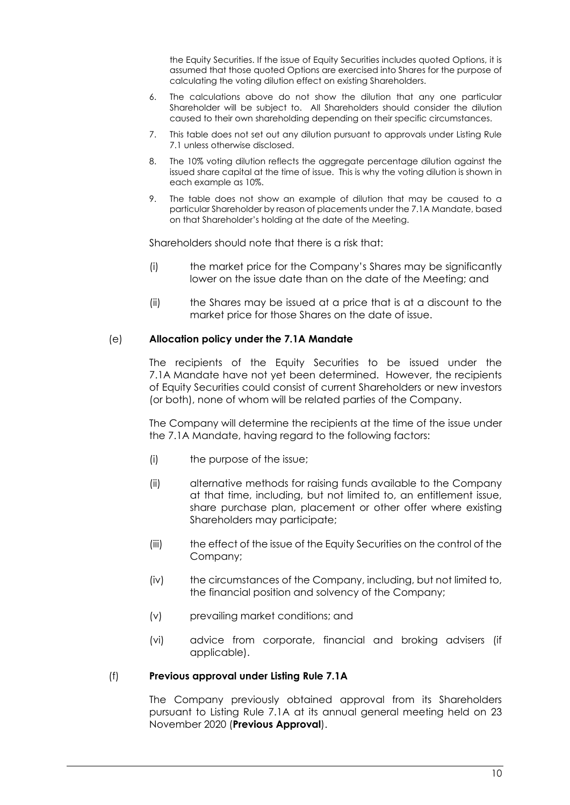the Equity Securities. If the issue of Equity Securities includes quoted Options, it is assumed that those quoted Options are exercised into Shares for the purpose of calculating the voting dilution effect on existing Shareholders.

- 6. The calculations above do not show the dilution that any one particular Shareholder will be subject to. All Shareholders should consider the dilution caused to their own shareholding depending on their specific circumstances.
- 7. This table does not set out any dilution pursuant to approvals under Listing Rule 7.1 unless otherwise disclosed.
- 8. The 10% voting dilution reflects the aggregate percentage dilution against the issued share capital at the time of issue. This is why the voting dilution is shown in each example as 10%.
- 9. The table does not show an example of dilution that may be caused to a particular Shareholder by reason of placements under the 7.1A Mandate, based on that Shareholder's holding at the date of the Meeting.

Shareholders should note that there is a risk that:

- (i) the market price for the Company's Shares may be significantly lower on the issue date than on the date of the Meeting; and
- (ii) the Shares may be issued at a price that is at a discount to the market price for those Shares on the date of issue.

# (e) **Allocation policy under the 7.1A Mandate**

The recipients of the Equity Securities to be issued under the 7.1A Mandate have not yet been determined. However, the recipients of Equity Securities could consist of current Shareholders or new investors (or both), none of whom will be related parties of the Company.

The Company will determine the recipients at the time of the issue under the 7.1A Mandate, having regard to the following factors:

- (i) the purpose of the issue;
- (ii) alternative methods for raising funds available to the Company at that time, including, but not limited to, an entitlement issue, share purchase plan, placement or other offer where existing Shareholders may participate;
- (iii) the effect of the issue of the Equity Securities on the control of the Company;
- (iv) the circumstances of the Company, including, but not limited to, the financial position and solvency of the Company;
- (v) prevailing market conditions; and
- (vi) advice from corporate, financial and broking advisers (if applicable).

### (f) **Previous approval under Listing Rule 7.1A**

The Company previously obtained approval from its Shareholders pursuant to Listing Rule 7.1A at its annual general meeting held on 23 November 2020 (**Previous Approval**).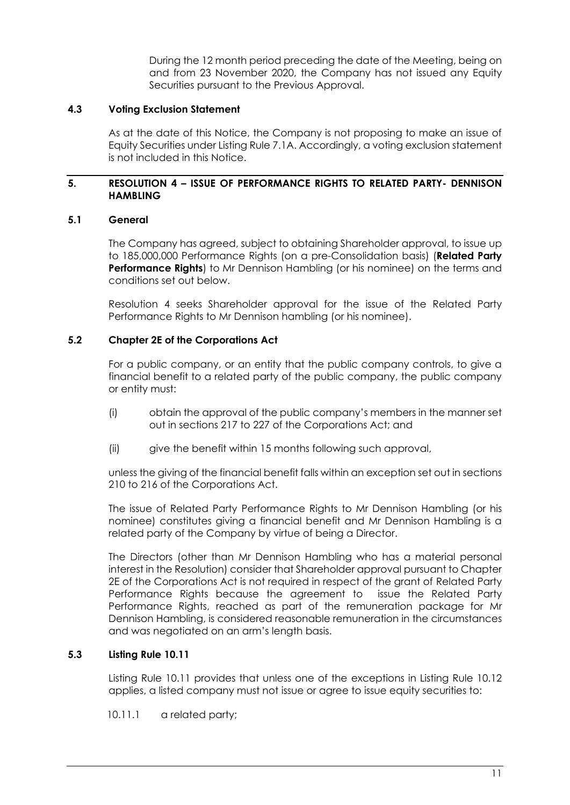During the 12 month period preceding the date of the Meeting, being on and from 23 November 2020, the Company has not issued any Equity Securities pursuant to the Previous Approval.

# **4.3 Voting Exclusion Statement**

As at the date of this Notice, the Company is not proposing to make an issue of Equity Securities under Listing Rule 7.1A. Accordingly, a voting exclusion statement is not included in this Notice.

# **5. RESOLUTION 4 – ISSUE OF PERFORMANCE RIGHTS TO RELATED PARTY- DENNISON HAMBLING**

# **5.1 General**

The Company has agreed, subject to obtaining Shareholder approval, to issue up to 185,000,000 Performance Rights (on a pre-Consolidation basis) (**Related Party Performance Rights**) to Mr Dennison Hambling (or his nominee) on the terms and conditions set out below.

Resolution 4 seeks Shareholder approval for the issue of the Related Party Performance Rights to Mr Dennison hambling (or his nominee).

# **5.2 Chapter 2E of the Corporations Act**

For a public company, or an entity that the public company controls, to give a financial benefit to a related party of the public company, the public company or entity must:

- (i) obtain the approval of the public company's members in the manner set out in sections 217 to 227 of the Corporations Act; and
- (ii) give the benefit within 15 months following such approval,

unless the giving of the financial benefit falls within an exception set out in sections 210 to 216 of the Corporations Act.

The issue of Related Party Performance Rights to Mr Dennison Hambling (or his nominee) constitutes giving a financial benefit and Mr Dennison Hambling is a related party of the Company by virtue of being a Director.

The Directors (other than Mr Dennison Hambling who has a material personal interest in the Resolution) consider that Shareholder approval pursuant to Chapter 2E of the Corporations Act is not required in respect of the grant of Related Party Performance Rights because the agreement to issue the Related Party Performance Rights, reached as part of the remuneration package for Mr Dennison Hambling, is considered reasonable remuneration in the circumstances and was negotiated on an arm's length basis.

# **5.3 Listing Rule 10.11**

Listing Rule 10.11 provides that unless one of the exceptions in Listing Rule 10.12 applies, a listed company must not issue or agree to issue equity securities to:

10.11.1 a related party;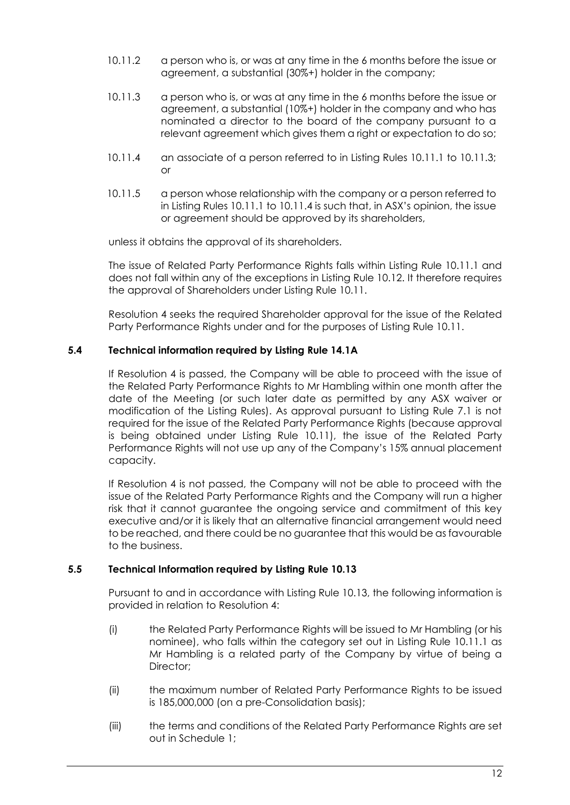- 10.11.2 a person who is, or was at any time in the 6 months before the issue or agreement, a substantial (30%+) holder in the company;
- 10.11.3 a person who is, or was at any time in the 6 months before the issue or agreement, a substantial (10%+) holder in the company and who has nominated a director to the board of the company pursuant to a relevant agreement which gives them a right or expectation to do so;
- 10.11.4 an associate of a person referred to in Listing Rules 10.11.1 to 10.11.3; or
- 10.11.5 a person whose relationship with the company or a person referred to in Listing Rules 10.11.1 to 10.11.4 is such that, in ASX's opinion, the issue or agreement should be approved by its shareholders,

unless it obtains the approval of its shareholders.

The issue of Related Party Performance Rights falls within Listing Rule 10.11.1 and does not fall within any of the exceptions in Listing Rule 10.12. It therefore requires the approval of Shareholders under Listing Rule 10.11.

Resolution 4 seeks the required Shareholder approval for the issue of the Related Party Performance Rights under and for the purposes of Listing Rule 10.11.

# **5.4 Technical information required by Listing Rule 14.1A**

If Resolution 4 is passed, the Company will be able to proceed with the issue of the Related Party Performance Rights to Mr Hambling within one month after the date of the Meeting (or such later date as permitted by any ASX waiver or modification of the Listing Rules). As approval pursuant to Listing Rule 7.1 is not required for the issue of the Related Party Performance Rights (because approval is being obtained under Listing Rule 10.11), the issue of the Related Party Performance Rights will not use up any of the Company's 15% annual placement capacity.

If Resolution 4 is not passed, the Company will not be able to proceed with the issue of the Related Party Performance Rights and the Company will run a higher risk that it cannot guarantee the ongoing service and commitment of this key executive and/or it is likely that an alternative financial arrangement would need to be reached, and there could be no guarantee that this would be as favourable to the business.

# **5.5 Technical Information required by Listing Rule 10.13**

Pursuant to and in accordance with Listing Rule 10.13, the following information is provided in relation to Resolution 4:

- (i) the Related Party Performance Rights will be issued to Mr Hambling (or his nominee), who falls within the category set out in Listing Rule 10.11.1 as Mr Hambling is a related party of the Company by virtue of being a Director:
- (ii) the maximum number of Related Party Performance Rights to be issued is 185,000,000 (on a pre-Consolidation basis);
- (iii) the terms and conditions of the Related Party Performance Rights are set out in Schedule 1;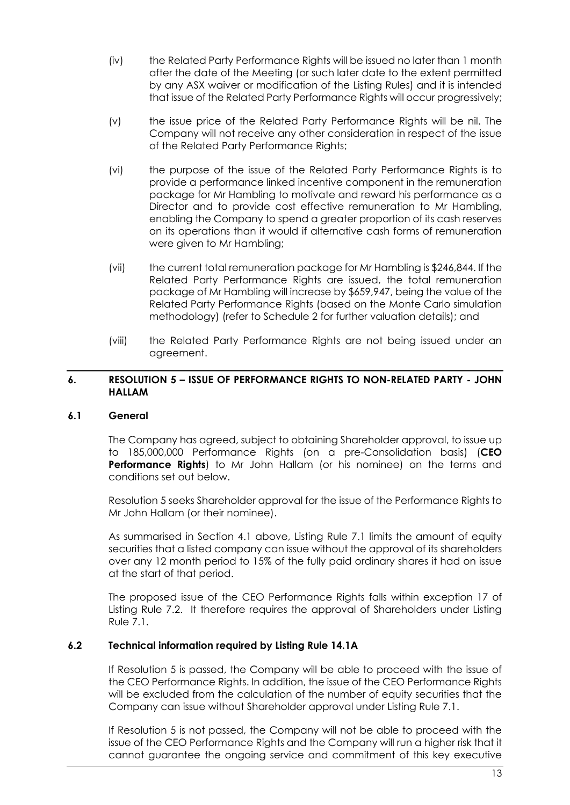- (iv) the Related Party Performance Rights will be issued no later than 1 month after the date of the Meeting (or such later date to the extent permitted by any ASX waiver or modification of the Listing Rules) and it is intended that issue of the Related Party Performance Rights will occur progressively;
- (v) the issue price of the Related Party Performance Rights will be nil. The Company will not receive any other consideration in respect of the issue of the Related Party Performance Rights;
- (vi) the purpose of the issue of the Related Party Performance Rights is to provide a performance linked incentive component in the remuneration package for Mr Hambling to motivate and reward his performance as a Director and to provide cost effective remuneration to Mr Hambling, enabling the Company to spend a greater proportion of its cash reserves on its operations than it would if alternative cash forms of remuneration were given to Mr Hambling;
- (vii) the current total remuneration package for Mr Hambling is \$246,844. If the Related Party Performance Rights are issued, the total remuneration package of Mr Hambling will increase by \$659,947, being the value of the Related Party Performance Rights (based on the Monte Carlo simulation methodology) (refer to Schedule 2 for further valuation details); and
- (viii) the Related Party Performance Rights are not being issued under an agreement.

# **6. RESOLUTION 5 – ISSUE OF PERFORMANCE RIGHTS TO NON-RELATED PARTY - JOHN HALLAM**

# **6.1 General**

The Company has agreed, subject to obtaining Shareholder approval, to issue up to 185,000,000 Performance Rights (on a pre-Consolidation basis) (**CEO Performance Rights**) to Mr John Hallam (or his nominee) on the terms and conditions set out below.

Resolution 5 seeks Shareholder approval for the issue of the Performance Rights to Mr John Hallam (or their nominee).

As summarised in Section [4.1](#page-9-0) above, Listing Rule 7.1 limits the amount of equity securities that a listed company can issue without the approval of its shareholders over any 12 month period to 15% of the fully paid ordinary shares it had on issue at the start of that period.

The proposed issue of the CEO Performance Rights falls within exception 17 of Listing Rule 7.2. It therefore requires the approval of Shareholders under Listing Rule 7.1.

# **6.2 Technical information required by Listing Rule 14.1A**

If Resolution 5 is passed, the Company will be able to proceed with the issue of the CEO Performance Rights. In addition, the issue of the CEO Performance Rights will be excluded from the calculation of the number of equity securities that the Company can issue without Shareholder approval under Listing Rule 7.1.

If Resolution 5 is not passed, the Company will not be able to proceed with the issue of the CEO Performance Rights and the Company will run a higher risk that it cannot guarantee the ongoing service and commitment of this key executive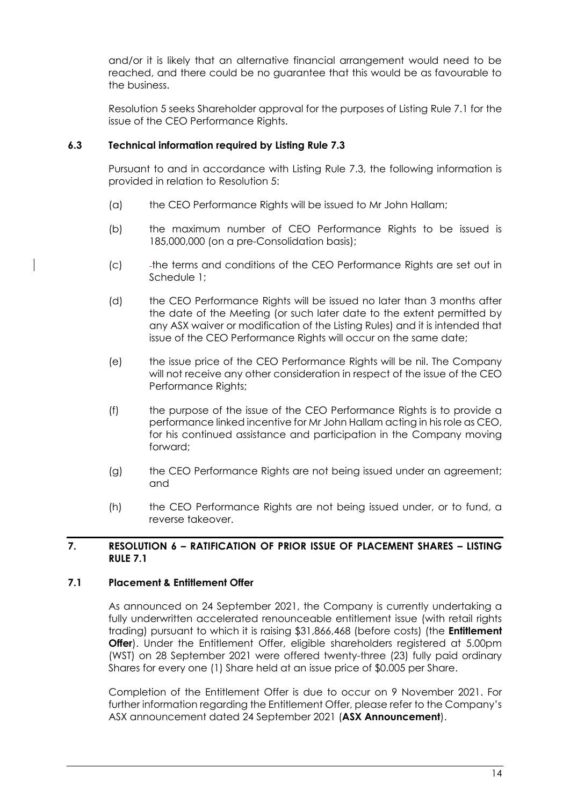and/or it is likely that an alternative financial arrangement would need to be reached, and there could be no guarantee that this would be as favourable to the business.

Resolution 5 seeks Shareholder approval for the purposes of Listing Rule 7.1 for the issue of the CEO Performance Rights.

# **6.3 Technical information required by Listing Rule 7.3**

Pursuant to and in accordance with Listing Rule 7.3, the following information is provided in relation to Resolution 5:

- (a) the CEO Performance Rights will be issued to Mr John Hallam;
- (b) the maximum number of CEO Performance Rights to be issued is 185,000,000 (on a pre-Consolidation basis);
- (c) the terms and conditions of the CEO Performance Rights are set out in Schedule 1;
- (d) the CEO Performance Rights will be issued no later than 3 months after the date of the Meeting (or such later date to the extent permitted by any ASX waiver or modification of the Listing Rules) and it is intended that issue of the CEO Performance Rights will occur on the same date;
- (e) the issue price of the CEO Performance Rights will be nil. The Company will not receive any other consideration in respect of the issue of the CEO Performance Rights;
- (f) the purpose of the issue of the CEO Performance Rights is to provide a performance linked incentive for Mr John Hallam acting in his role as CEO, for his continued assistance and participation in the Company moving forward;
- (g) the CEO Performance Rights are not being issued under an agreement; and
- (h) the CEO Performance Rights are not being issued under, or to fund, a reverse takeover.

# **7. RESOLUTION 6 – RATIFICATION OF PRIOR ISSUE OF PLACEMENT SHARES – LISTING RULE 7.1**

# **7.1 Placement & Entitlement Offer**

As announced on 24 September 2021, the Company is currently undertaking a fully underwritten accelerated renounceable entitlement issue (with retail rights trading) pursuant to which it is raising \$31,866,468 (before costs) (the **Entitlement Offer**). Under the Entitlement Offer, eligible shareholders registered at 5.00pm (WST) on 28 September 2021 were offered twenty-three (23) fully paid ordinary Shares for every one (1) Share held at an issue price of \$0.005 per Share.

Completion of the Entitlement Offer is due to occur on 9 November 2021. For further information regarding the Entitlement Offer, please refer to the Company's ASX announcement dated 24 September 2021 (**ASX Announcement**).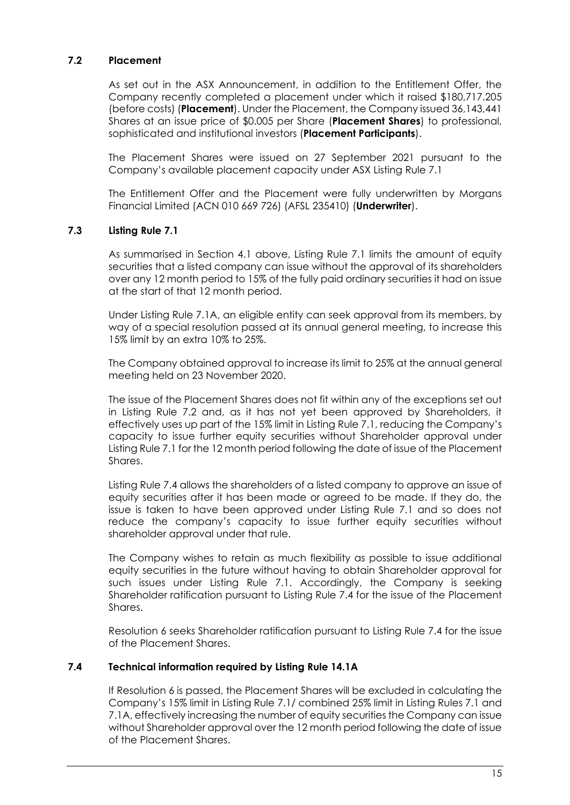# **7.2 Placement**

As set out in the ASX Announcement, in addition to the Entitlement Offer, the Company recently completed a placement under which it raised \$180,717.205 (before costs) (**Placement**). Under the Placement, the Company issued 36,143,441 Shares at an issue price of \$0.005 per Share (**Placement Shares**) to professional, sophisticated and institutional investors (**Placement Participants**).

The Placement Shares were issued on 27 September 2021 pursuant to the Company's available placement capacity under ASX Listing Rule 7.1

The Entitlement Offer and the Placement were fully underwritten by Morgans Financial Limited (ACN 010 669 726) (AFSL 235410) (**Underwriter**).

# **7.3 Listing Rule 7.1**

As summarised in Section [4.1](#page-9-0) above, Listing Rule 7.1 limits the amount of equity securities that a listed company can issue without the approval of its shareholders over any 12 month period to 15% of the fully paid ordinary securities it had on issue at the start of that 12 month period.

Under Listing Rule 7.1A, an eligible entity can seek approval from its members, by way of a special resolution passed at its annual general meeting, to increase this 15% limit by an extra 10% to 25%.

The Company obtained approval to increase its limit to 25% at the annual general meeting held on 23 November 2020.

The issue of the Placement Shares does not fit within any of the exceptions set out in Listing Rule 7.2 and, as it has not yet been approved by Shareholders, it effectively uses up part of the 15% limit in Listing Rule 7.1, reducing the Company's capacity to issue further equity securities without Shareholder approval under Listing Rule 7.1 for the 12 month period following the date of issue of the Placement Shares.

Listing Rule 7.4 allows the shareholders of a listed company to approve an issue of equity securities after it has been made or agreed to be made. If they do, the issue is taken to have been approved under Listing Rule 7.1 and so does not reduce the company's capacity to issue further equity securities without shareholder approval under that rule.

The Company wishes to retain as much flexibility as possible to issue additional equity securities in the future without having to obtain Shareholder approval for such issues under Listing Rule 7.1. Accordingly, the Company is seeking Shareholder ratification pursuant to Listing Rule 7.4 for the issue of the Placement Shares.

Resolution 6 seeks Shareholder ratification pursuant to Listing Rule 7.4 for the issue of the Placement Shares.

# **7.4 Technical information required by Listing Rule 14.1A**

If Resolution 6 is passed, the Placement Shares will be excluded in calculating the Company's 15% limit in Listing Rule 7.1/ combined 25% limit in Listing Rules 7.1 and 7.1A, effectively increasing the number of equity securities the Company can issue without Shareholder approval over the 12 month period following the date of issue of the Placement Shares.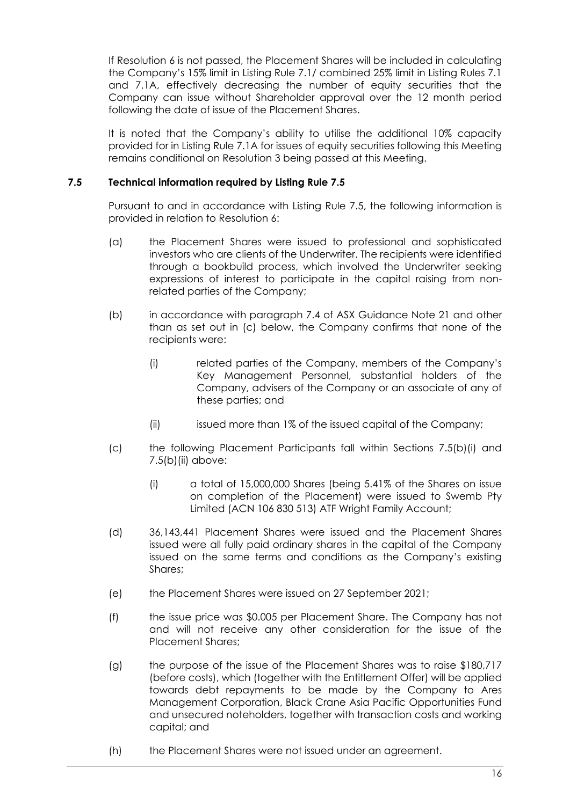If Resolution 6 is not passed, the Placement Shares will be included in calculating the Company's 15% limit in Listing Rule 7.1/ combined 25% limit in Listing Rules 7.1 and 7.1A, effectively decreasing the number of equity securities that the Company can issue without Shareholder approval over the 12 month period following the date of issue of the Placement Shares.

It is noted that the Company's ability to utilise the additional 10% capacity provided for in Listing Rule 7.1A for issues of equity securities following this Meeting remains conditional on Resolution 3 being passed at this Meeting.

# **7.5 Technical information required by Listing Rule 7.5**

Pursuant to and in accordance with Listing Rule 7.5, the following information is provided in relation to Resolution 6:

- (a) the Placement Shares were issued to professional and sophisticated investors who are clients of the Underwriter. The recipients were identified through a bookbuild process, which involved the Underwriter seeking expressions of interest to participate in the capital raising from nonrelated parties of the Company;
- (b) in accordance with paragraph 7.4 of ASX Guidance Note 21 and other than as set out in (c) below, the Company confirms that none of the recipients were:
	- (i) related parties of the Company, members of the Company's Key Management Personnel, substantial holders of the Company, advisers of the Company or an associate of any of these parties; and
	- (ii) issued more than 1% of the issued capital of the Company;
- (c) the following Placement Participants fall within Sections 7.5(b)(i) and 7.5(b)(ii) above:
	- (i) a total of 15,000,000 Shares (being 5.41% of the Shares on issue on completion of the Placement) were issued to Swemb Pty Limited (ACN 106 830 513) ATF Wright Family Account;
- (d) 36,143,441 Placement Shares were issued and the Placement Shares issued were all fully paid ordinary shares in the capital of the Company issued on the same terms and conditions as the Company's existing Shares;
- (e) the Placement Shares were issued on 27 September 2021;
- (f) the issue price was \$0.005 per Placement Share. The Company has not and will not receive any other consideration for the issue of the Placement Shares;
- (g) the purpose of the issue of the Placement Shares was to raise \$180,717 (before costs), which (together with the Entitlement Offer) will be applied towards debt repayments to be made by the Company to Ares Management Corporation, Black Crane Asia Pacific Opportunities Fund and unsecured noteholders, together with transaction costs and working capital; and
- (h) the Placement Shares were not issued under an agreement.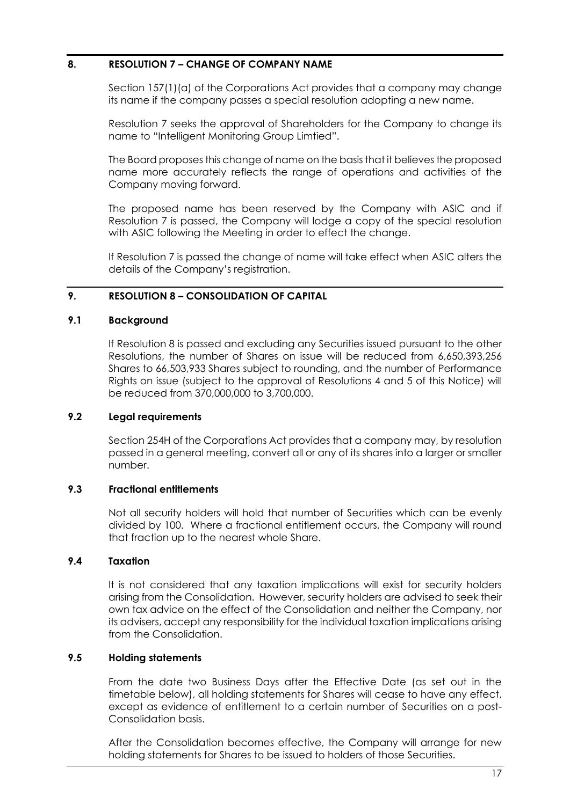# **8. RESOLUTION 7 – CHANGE OF COMPANY NAME**

Section 157(1)(a) of the Corporations Act provides that a company may change its name if the company passes a special resolution adopting a new name.

Resolution 7 seeks the approval of Shareholders for the Company to change its name to "Intelligent Monitoring Group Limtied".

The Board proposes this change of name on the basis that it believes the proposed name more accurately reflects the range of operations and activities of the Company moving forward.

The proposed name has been reserved by the Company with ASIC and if Resolution 7 is passed, the Company will lodge a copy of the special resolution with ASIC following the Meeting in order to effect the change.

If Resolution 7 is passed the change of name will take effect when ASIC alters the details of the Company's registration.

# **9. RESOLUTION 8 – CONSOLIDATION OF CAPITAL**

## **9.1 Background**

If Resolution 8 is passed and excluding any Securities issued pursuant to the other Resolutions, the number of Shares on issue will be reduced from 6,650,393,256 Shares to 66,503,933 Shares subject to rounding, and the number of Performance Rights on issue (subject to the approval of Resolutions 4 and 5 of this Notice) will be reduced from 370,000,000 to 3,700,000.

# **9.2 Legal requirements**

Section 254H of the Corporations Act provides that a company may, by resolution passed in a general meeting, convert all or any of its shares into a larger or smaller number.

# **9.3 Fractional entitlements**

Not all security holders will hold that number of Securities which can be evenly divided by 100. Where a fractional entitlement occurs, the Company will round that fraction up to the nearest whole Share.

# **9.4 Taxation**

It is not considered that any taxation implications will exist for security holders arising from the Consolidation. However, security holders are advised to seek their own tax advice on the effect of the Consolidation and neither the Company, nor its advisers, accept any responsibility for the individual taxation implications arising from the Consolidation.

# **9.5 Holding statements**

From the date two Business Days after the Effective Date (as set out in the timetable below), all holding statements for Shares will cease to have any effect, except as evidence of entitlement to a certain number of Securities on a post-Consolidation basis.

After the Consolidation becomes effective, the Company will arrange for new holding statements for Shares to be issued to holders of those Securities.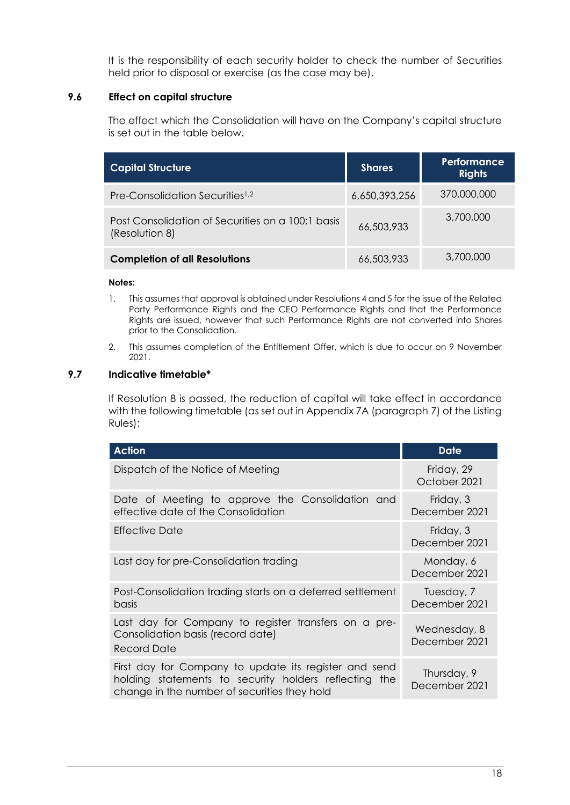It is the responsibility of each security holder to check the number of Securities held prior to disposal or exercise (as the case may be).

# **9.6 Effect on capital structure**

The effect which the Consolidation will have on the Company's capital structure is set out in the table below.

| <b>Capital Structure</b>                                            | <b>Shares</b> | Performance<br><b>Rights</b> |
|---------------------------------------------------------------------|---------------|------------------------------|
| Pre-Consolidation Securities <sup>1,2</sup>                         | 6,650,393,256 | 370,000,000                  |
| Post Consolidation of Securities on a 100:1 basis<br>(Resolution 8) | 66,503,933    | 3,700,000                    |
| <b>Completion of all Resolutions</b>                                | 66,503,933    | 3,700,000                    |

## **Notes:**

- 1. This assumes that approval is obtained under Resolutions 4 and 5 for the issue of the Related Party Performance Rights and the CEO Performance Rights and that the Performance Rights are issued, however that such Performance Rights are not converted into Shares prior to the Consolidation.
- 2. This assumes completion of the Entitlement Offer, which is due to occur on 9 November 2021.

# **9.7 Indicative timetable\***

If Resolution 8 is passed, the reduction of capital will take effect in accordance with the following timetable (as set out in Appendix 7A (paragraph 7) of the Listing Rules):

| <b>Action</b>                                                                                                                                                  | <b>Date</b>                   |
|----------------------------------------------------------------------------------------------------------------------------------------------------------------|-------------------------------|
| Dispatch of the Notice of Meeting                                                                                                                              | Friday, 29<br>October 2021    |
| Date of Meeting to approve the Consolidation and<br>effective date of the Consolidation                                                                        | Friday, 3<br>December 2021    |
| Effective Date                                                                                                                                                 | Friday, 3<br>December 2021    |
| Last day for pre-Consolidation trading                                                                                                                         | Monday, 6<br>December 2021    |
| Post-Consolidation trading starts on a deferred settlement<br>basis                                                                                            | Tuesday, 7<br>December 2021   |
| Last day for Company to register transfers on a pre-<br>Consolidation basis (record date)<br>Record Date                                                       | Wednesday, 8<br>December 2021 |
| First day for Company to update its register and send<br>holding statements to security holders reflecting the<br>change in the number of securities they hold | Thursday, 9<br>December 2021  |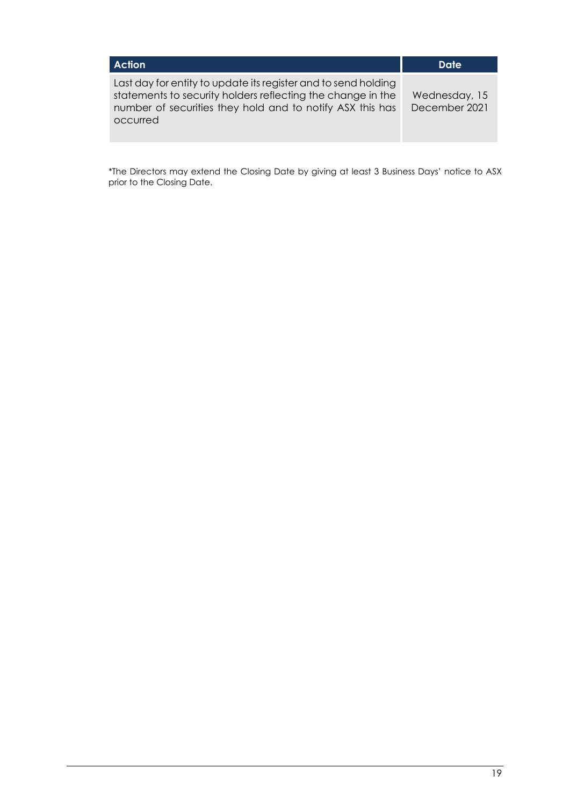| <b>Action</b>                                                                                                                                                                                          | Date                           |
|--------------------------------------------------------------------------------------------------------------------------------------------------------------------------------------------------------|--------------------------------|
| Last day for entity to update its register and to send holding<br>statements to security holders reflecting the change in the<br>number of securities they hold and to notify ASX this has<br>occurred | Wednesday, 15<br>December 2021 |

\*The Directors may extend the Closing Date by giving at least 3 Business Days' notice to ASX prior to the Closing Date.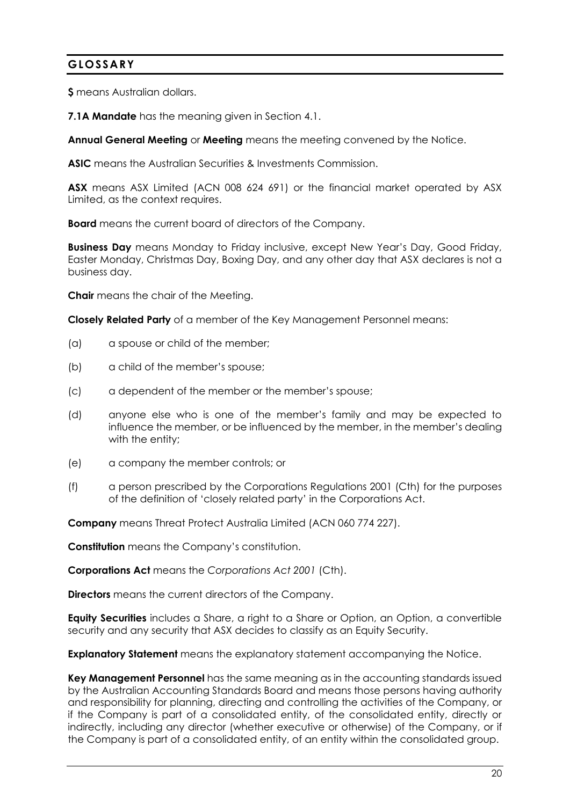# **GLOSSARY**

**\$** means Australian dollars.

**7.1A Mandate** has the meaning given in Section [4.1.](#page-9-0)

**Annual General Meeting** or **Meeting** means the meeting convened by the Notice.

**ASIC** means the Australian Securities & Investments Commission.

**ASX** means ASX Limited (ACN 008 624 691) or the financial market operated by ASX Limited, as the context requires.

**Board** means the current board of directors of the Company.

**Business Day** means Monday to Friday inclusive, except New Year's Day, Good Friday, Easter Monday, Christmas Day, Boxing Day, and any other day that ASX declares is not a business day.

**Chair** means the chair of the Meeting.

**Closely Related Party** of a member of the Key Management Personnel means:

- (a) a spouse or child of the member;
- (b) a child of the member's spouse;
- (c) a dependent of the member or the member's spouse;
- (d) anyone else who is one of the member's family and may be expected to influence the member, or be influenced by the member, in the member's dealing with the entity;
- (e) a company the member controls; or
- (f) a person prescribed by the Corporations Regulations 2001 (Cth) for the purposes of the definition of 'closely related party' in the Corporations Act.

**Company** means Threat Protect Australia Limited (ACN 060 774 227).

**Constitution** means the Company's constitution.

**Corporations Act** means the *Corporations Act 2001* (Cth).

**Directors** means the current directors of the Company.

**Equity Securities** includes a Share, a right to a Share or Option, an Option, a convertible security and any security that ASX decides to classify as an Equity Security.

**Explanatory Statement** means the explanatory statement accompanying the Notice.

**Key Management Personnel** has the same meaning as in the accounting standards issued by the Australian Accounting Standards Board and means those persons having authority and responsibility for planning, directing and controlling the activities of the Company, or if the Company is part of a consolidated entity, of the consolidated entity, directly or indirectly, including any director (whether executive or otherwise) of the Company, or if the Company is part of a consolidated entity, of an entity within the consolidated group.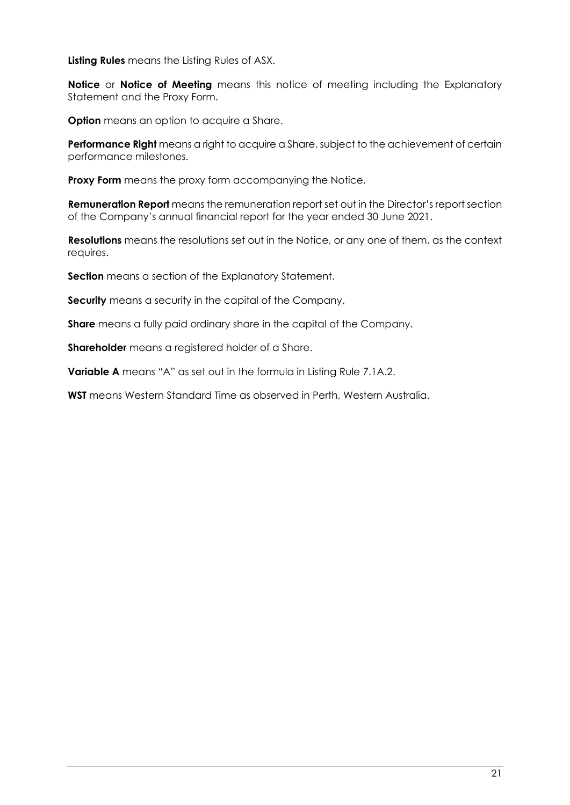**Listing Rules** means the Listing Rules of ASX.

**Notice** or **Notice of Meeting** means this notice of meeting including the Explanatory Statement and the Proxy Form.

**Option** means an option to acquire a Share.

**Performance Right** means a right to acquire a Share, subject to the achievement of certain performance milestones.

**Proxy Form** means the proxy form accompanying the Notice.

**Remuneration Report** means the remuneration report set out in the Director's report section of the Company's annual financial report for the year ended 30 June 2021.

**Resolutions** means the resolutions set out in the Notice, or any one of them, as the context requires.

**Section** means a section of the Explanatory Statement.

**Security** means a security in the capital of the Company.

**Share** means a fully paid ordinary share in the capital of the Company.

**Shareholder** means a registered holder of a Share.

**Variable A** means "A" as set out in the formula in Listing Rule 7.1A.2.

**WST** means Western Standard Time as observed in Perth, Western Australia.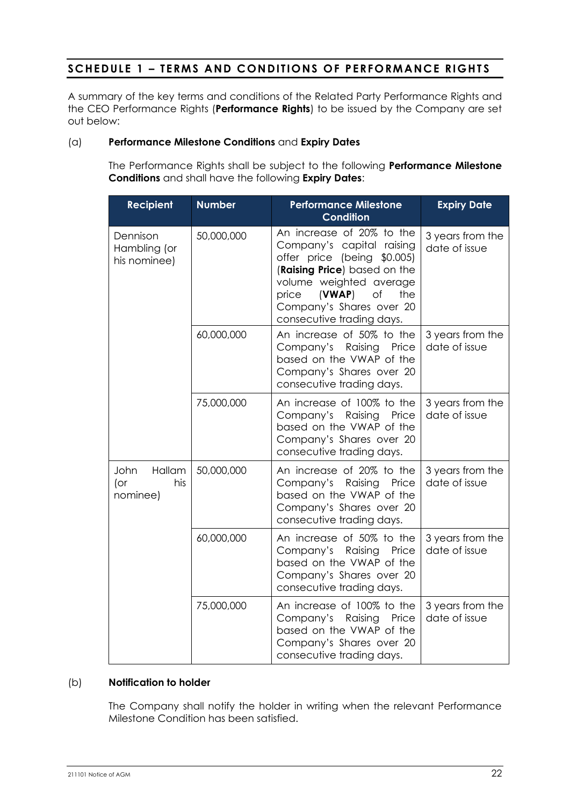# **SCHEDULE 1 – TERMS AND CONDITIONS OF PERFORMANCE RIGHTS**

A summary of the key terms and conditions of the Related Party Performance Rights and the CEO Performance Rights (**Performance Rights**) to be issued by the Company are set out below:

# <span id="page-24-0"></span>(a) **Performance Milestone Conditions** and **Expiry Dates**

The Performance Rights shall be subject to the following **Performance Milestone Conditions** and shall have the following **Expiry Dates**:

| <b>Recipient</b>                            | <b>Number</b> | <b>Performance Milestone</b><br><b>Condition</b>                                                                                                                                                                                          | <b>Expiry Date</b>                |
|---------------------------------------------|---------------|-------------------------------------------------------------------------------------------------------------------------------------------------------------------------------------------------------------------------------------------|-----------------------------------|
| Dennison<br>Hambling (or<br>his nominee)    | 50,000,000    | An increase of 20% to the<br>Company's capital raising<br>offer price (being \$0.005)<br>(Raising Price) based on the<br>volume weighted average<br>of<br>(VWAP)<br>the<br>price<br>Company's Shares over 20<br>consecutive trading days. | 3 years from the<br>date of issue |
|                                             | 60,000,000    | An increase of 50% to the<br>Company's<br>Raising<br>Price<br>based on the VWAP of the<br>Company's Shares over 20<br>consecutive trading days.                                                                                           | 3 years from the<br>date of issue |
|                                             | 75,000,000    | An increase of 100% to the<br>Company's Raising<br>Price<br>based on the VWAP of the<br>Company's Shares over 20<br>consecutive trading days.                                                                                             | 3 years from the<br>date of issue |
| Hallam<br>John<br>$($ or<br>his<br>nominee) | 50,000,000    | An increase of 20% to the<br>Company's Raising<br>Price<br>based on the VWAP of the<br>Company's Shares over 20<br>consecutive trading days.                                                                                              | 3 years from the<br>date of issue |
|                                             | 60,000,000    | An increase of 50% to the<br>Company's<br>Raising<br>Price<br>based on the VWAP of the<br>Company's Shares over 20<br>consecutive trading days.                                                                                           | 3 years from the<br>date of issue |
|                                             | 75,000,000    | An increase of 100% to the<br>Company's Raising<br>Price<br>based on the VWAP of the<br>Company's Shares over 20<br>consecutive trading days.                                                                                             | 3 years from the<br>date of issue |

# (b) **Notification to holder**

The Company shall notify the holder in writing when the relevant Performance Milestone Condition has been satisfied.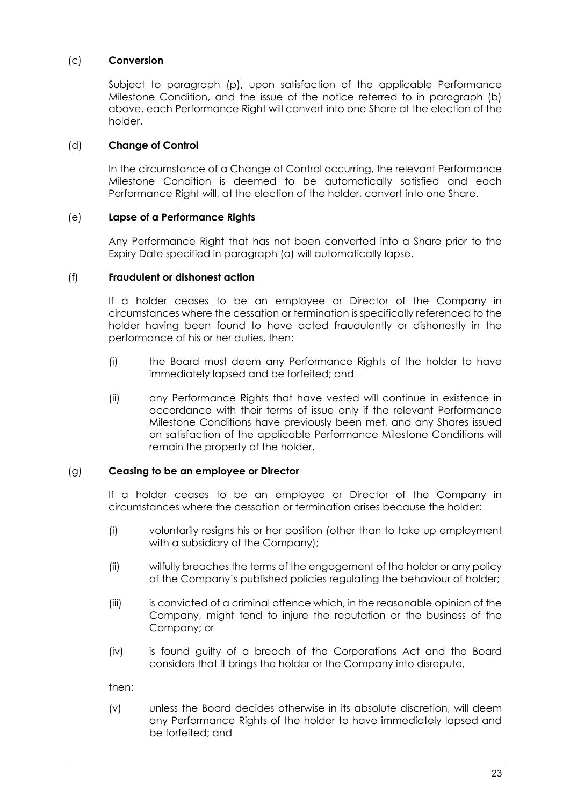# (c) **Conversion**

Subject to paragraph [\(p\),](#page-27-0) upon satisfaction of the applicable Performance Milestone Condition, and the issue of the notice referred to in paragraph (b) above, each Performance Right will convert into one Share at the election of the holder.

# (d) **Change of Control**

In the circumstance of a Change of Control occurring, the relevant Performance Milestone Condition is deemed to be automatically satisfied and each Performance Right will, at the election of the holder, convert into one Share.

# (e) **Lapse of a Performance Rights**

Any Performance Right that has not been converted into a Share prior to the Expiry Date specified in paragraph [\(a\)](#page-24-0) will automatically lapse.

# (f) **Fraudulent or dishonest action**

If a holder ceases to be an employee or Director of the Company in circumstances where the cessation or termination is specifically referenced to the holder having been found to have acted fraudulently or dishonestly in the performance of his or her duties, then:

- (i) the Board must deem any Performance Rights of the holder to have immediately lapsed and be forfeited; and
- (ii) any Performance Rights that have vested will continue in existence in accordance with their terms of issue only if the relevant Performance Milestone Conditions have previously been met, and any Shares issued on satisfaction of the applicable Performance Milestone Conditions will remain the property of the holder.

# (g) **Ceasing to be an employee or Director**

If a holder ceases to be an employee or Director of the Company in circumstances where the cessation or termination arises because the holder:

- (i) voluntarily resigns his or her position (other than to take up employment with a subsidiary of the Company);
- (ii) wilfully breaches the terms of the engagement of the holder or any policy of the Company's published policies regulating the behaviour of holder;
- (iii) is convicted of a criminal offence which, in the reasonable opinion of the Company, might tend to injure the reputation or the business of the Company; or
- (iv) is found guilty of a breach of the Corporations Act and the Board considers that it brings the holder or the Company into disrepute,

then:

(v) unless the Board decides otherwise in its absolute discretion, will deem any Performance Rights of the holder to have immediately lapsed and be forfeited; and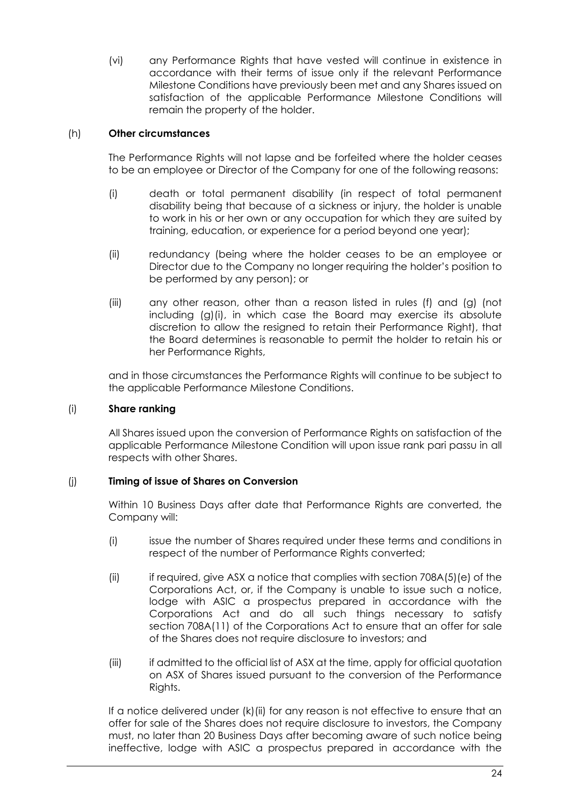(vi) any Performance Rights that have vested will continue in existence in accordance with their terms of issue only if the relevant Performance Milestone Conditions have previously been met and any Shares issued on satisfaction of the applicable Performance Milestone Conditions will remain the property of the holder.

# (h) **Other circumstances**

The Performance Rights will not lapse and be forfeited where the holder ceases to be an employee or Director of the Company for one of the following reasons:

- (i) death or total permanent disability (in respect of total permanent disability being that because of a sickness or injury, the holder is unable to work in his or her own or any occupation for which they are suited by training, education, or experience for a period beyond one year);
- (ii) redundancy (being where the holder ceases to be an employee or Director due to the Company no longer requiring the holder's position to be performed by any person); or
- (iii) any other reason, other than a reason listed in rules (f) and (g) (not including (g)(i), in which case the Board may exercise its absolute discretion to allow the resigned to retain their Performance Right), that the Board determines is reasonable to permit the holder to retain his or her Performance Rights,

and in those circumstances the Performance Rights will continue to be subject to the applicable Performance Milestone Conditions.

# (i) **Share ranking**

All Shares issued upon the conversion of Performance Rights on satisfaction of the applicable Performance Milestone Condition will upon issue rank pari passu in all respects with other Shares.

# (j) **Timing of issue of Shares on Conversion**

Within 10 Business Days after date that Performance Rights are converted, the Company will:

- (i) issue the number of Shares required under these terms and conditions in respect of the number of Performance Rights converted;
- (ii) if required, give ASX a notice that complies with section  $708A(5)(e)$  of the Corporations Act, or, if the Company is unable to issue such a notice, lodge with ASIC a prospectus prepared in accordance with the Corporations Act and do all such things necessary to satisfy section 708A(11) of the Corporations Act to ensure that an offer for sale of the Shares does not require disclosure to investors; and
- (iii) if admitted to the official list of ASX at the time, apply for official quotation on ASX of Shares issued pursuant to the conversion of the Performance Rights.

If a notice delivered under (k)(ii) for any reason is not effective to ensure that an offer for sale of the Shares does not require disclosure to investors, the Company must, no later than 20 Business Days after becoming aware of such notice being ineffective, lodge with ASIC a prospectus prepared in accordance with the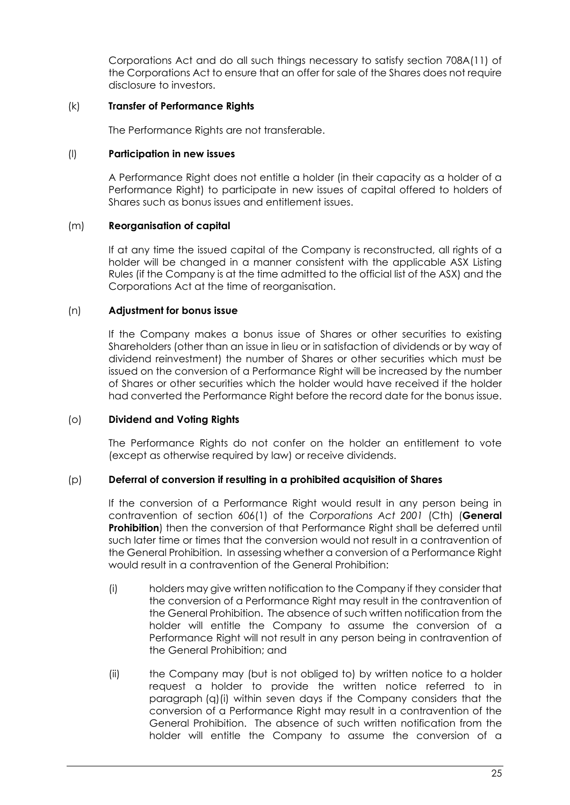Corporations Act and do all such things necessary to satisfy section 708A(11) of the Corporations Act to ensure that an offer for sale of the Shares does not require disclosure to investors.

# (k) **Transfer of Performance Rights**

The Performance Rights are not transferable.

# (l) **Participation in new issues**

A Performance Right does not entitle a holder (in their capacity as a holder of a Performance Right) to participate in new issues of capital offered to holders of Shares such as bonus issues and entitlement issues.

# (m) **Reorganisation of capital**

If at any time the issued capital of the Company is reconstructed, all rights of a holder will be changed in a manner consistent with the applicable ASX Listing Rules (if the Company is at the time admitted to the official list of the ASX) and the Corporations Act at the time of reorganisation.

# (n) **Adjustment for bonus issue**

If the Company makes a bonus issue of Shares or other securities to existing Shareholders (other than an issue in lieu or in satisfaction of dividends or by way of dividend reinvestment) the number of Shares or other securities which must be issued on the conversion of a Performance Right will be increased by the number of Shares or other securities which the holder would have received if the holder had converted the Performance Right before the record date for the bonus issue.

# (o) **Dividend and Voting Rights**

The Performance Rights do not confer on the holder an entitlement to vote (except as otherwise required by law) or receive dividends.

# <span id="page-27-0"></span>(p) **Deferral of conversion if resulting in a prohibited acquisition of Shares**

If the conversion of a Performance Right would result in any person being in contravention of section 606(1) of the *Corporations Act 2001* (Cth) (**General Prohibition**) then the conversion of that Performance Right shall be deferred until such later time or times that the conversion would not result in a contravention of the General Prohibition. In assessing whether a conversion of a Performance Right would result in a contravention of the General Prohibition:

- (i) holders may give written notification to the Company if they consider that the conversion of a Performance Right may result in the contravention of the General Prohibition. The absence of such written notification from the holder will entitle the Company to assume the conversion of a Performance Right will not result in any person being in contravention of the General Prohibition; and
- (ii) the Company may (but is not obliged to) by written notice to a holder request a holder to provide the written notice referred to in paragraph (q)(i) within seven days if the Company considers that the conversion of a Performance Right may result in a contravention of the General Prohibition. The absence of such written notification from the holder will entitle the Company to assume the conversion of a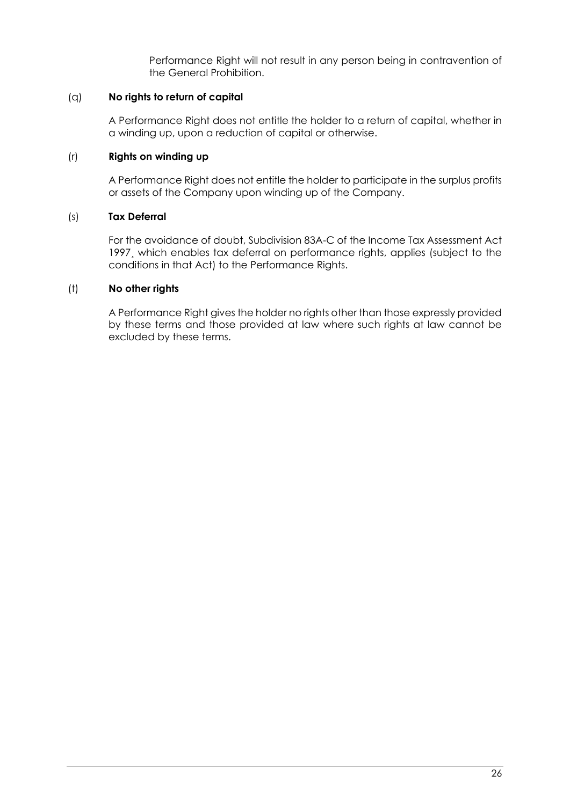Performance Right will not result in any person being in contravention of the General Prohibition.

# (q) **No rights to return of capital**

A Performance Right does not entitle the holder to a return of capital, whether in a winding up, upon a reduction of capital or otherwise.

# (r) **Rights on winding up**

A Performance Right does not entitle the holder to participate in the surplus profits or assets of the Company upon winding up of the Company.

# (s) **Tax Deferral**

For the avoidance of doubt, Subdivision 83A-C of the Income Tax Assessment Act 1997¸ which enables tax deferral on performance rights, applies (subject to the conditions in that Act) to the Performance Rights.

# (t) **No other rights**

A Performance Right gives the holder no rights other than those expressly provided by these terms and those provided at law where such rights at law cannot be excluded by these terms.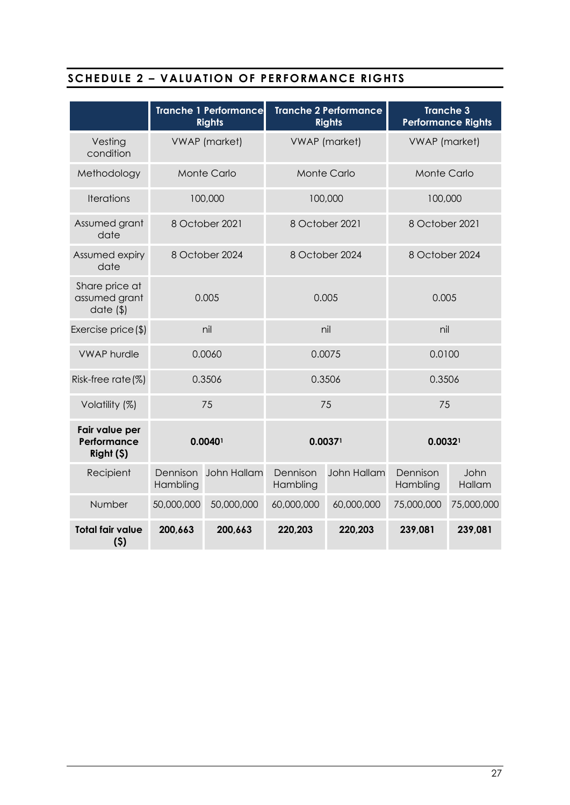# **SCHEDULE 2 – VALUATION OF PERFORMANCE RIGHTS**

|                                             |                       | <b>Tranche 1 Performance</b><br><b>Rights</b> |                      | <b>Tranche 2 Performance</b><br><b>Rights</b> | <b>Tranche 3</b><br><b>Performance Rights</b> |                |
|---------------------------------------------|-----------------------|-----------------------------------------------|----------------------|-----------------------------------------------|-----------------------------------------------|----------------|
| Vesting<br>condition                        | <b>VWAP</b> (market)  |                                               |                      | <b>VWAP</b> (market)                          | <b>VWAP</b> (market)                          |                |
| Methodology                                 |                       | <b>Monte Carlo</b>                            |                      | Monte Carlo                                   | Monte Carlo                                   |                |
| <b>Iterations</b>                           |                       | 100,000                                       |                      | 100,000                                       | 100,000                                       |                |
| Assumed grant<br>date                       |                       | 8 October 2021                                |                      | 8 October 2021                                | 8 October 2021                                |                |
| Assumed expiry<br>date                      | 8 October 2024        |                                               |                      | 8 October 2024                                | 8 October 2024                                |                |
| Share price at<br>assumed grant<br>date(    | 0.005                 |                                               |                      | 0.005                                         | 0.005                                         |                |
| Exercise price $(\$)$                       | nil                   |                                               |                      | nil                                           | nil                                           |                |
| <b>VWAP</b> hurdle                          | 0.0060                |                                               |                      | 0.0075                                        | 0.0100                                        |                |
| Risk-free rate (%)                          | 0.3506                |                                               |                      | 0.3506                                        | 0.3506                                        |                |
| Volatility (%)                              | 75                    |                                               |                      | 75                                            | 75                                            |                |
| Fair value per<br>Performance<br>Right (\$) | $0.0040$ <sup>1</sup> |                                               |                      | 0.00371                                       | 0.0032 <sup>1</sup>                           |                |
| Recipient                                   | Dennison<br>Hambling  | John Hallam                                   | Dennison<br>Hambling | <b>John Hallam</b>                            | Dennison<br>Hambling                          | John<br>Hallam |
| Number                                      | 50,000,000            | 50,000,000                                    | 60,000,000           | 60,000,000                                    | 75,000,000                                    | 75,000,000     |
| <b>Total fair value</b><br>(5)              | 200,663               | 200,663                                       | 220,203              | 220,203                                       | 239,081                                       | 239,081        |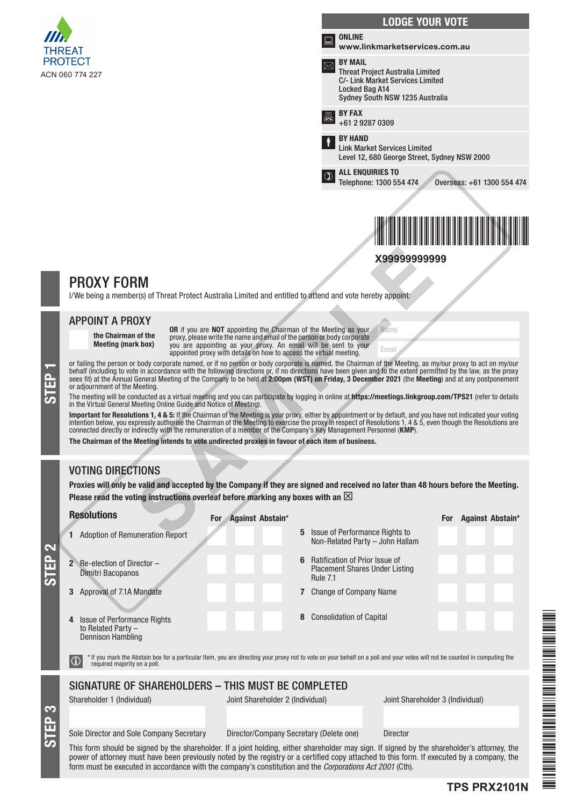

|                                                                                                         | <b>LODGE YOUR VOTE</b>                                                                                                                             |
|---------------------------------------------------------------------------------------------------------|----------------------------------------------------------------------------------------------------------------------------------------------------|
|                                                                                                         | <b>ONLINE</b><br>www.linkmarketservices.com.au                                                                                                     |
|                                                                                                         | <b>RY MAIL</b><br><b>Threat Project Australia Limited</b><br>C/- Link Market Services Limited<br>Locked Bag A14<br>Sydney South NSW 1235 Australia |
|                                                                                                         | <b>BY FAX</b><br>+61 2 9287 0309                                                                                                                   |
|                                                                                                         | <b>BY HAND</b><br><b>Link Market Services Limited</b><br>Level 12, 680 George Street, Sydney NSW 2000                                              |
| $\mathfrak{D}% _{T}=\mathfrak{D}_{T}\!\left( a,b\right) ,\ \mathfrak{D}_{T}=C_{T}\!\left( a,b\right) ,$ | <b>ALL ENQUIRIES TO</b><br>Telephone: 1300 554 474<br>Overseas: +61 1300 554 474                                                                   |
|                                                                                                         |                                                                                                                                                    |
|                                                                                                         |                                                                                                                                                    |

# PROXY FORM

### APPOINT A PROXY

STEP<sub>1</sub>

STEP 3

# VOTING DIRECTIONS

|                  |                                                                                                                                                                                                                                                                                                                                                                                                                                                                                                                                                                                                                                                                                                         | X99999999999                                                                                                                                                                                                                                                                                                                                                                                                                                                                                                                                                                                                                                                                                                                                                                                                                                                                                                                                                                                       |
|------------------|---------------------------------------------------------------------------------------------------------------------------------------------------------------------------------------------------------------------------------------------------------------------------------------------------------------------------------------------------------------------------------------------------------------------------------------------------------------------------------------------------------------------------------------------------------------------------------------------------------------------------------------------------------------------------------------------------------|----------------------------------------------------------------------------------------------------------------------------------------------------------------------------------------------------------------------------------------------------------------------------------------------------------------------------------------------------------------------------------------------------------------------------------------------------------------------------------------------------------------------------------------------------------------------------------------------------------------------------------------------------------------------------------------------------------------------------------------------------------------------------------------------------------------------------------------------------------------------------------------------------------------------------------------------------------------------------------------------------|
|                  | <b>PROXY FORM</b><br>I/We being a member(s) of Threat Protect Australia Limited and entitled to attend and vote hereby appoint:                                                                                                                                                                                                                                                                                                                                                                                                                                                                                                                                                                         |                                                                                                                                                                                                                                                                                                                                                                                                                                                                                                                                                                                                                                                                                                                                                                                                                                                                                                                                                                                                    |
| STEP             | <b>APPOINT A PROXY</b><br>OR if you are NOT appointing the Chairman of the Meeting as your<br>the Chairman of the<br>proxy, please write the name and email of the person or body corporate<br><b>Meeting (mark box)</b><br>you are appointing as your proxy. An email will be sent to your<br>appointed proxy with details on how to access the virtual meeting.<br>or adjournment of the Meeting.<br>in the Virtual General Meeting Online Guide and Notice of Meeting).<br>connected directly or indirectly with the remuneration of a member of the Company's Key Management Personnel (KMP).<br>The Chairman of the Meeting intends to vote undirected proxies in favour of each item of business. | Name<br>Email<br>or failing the person or body corporate named, or if no person or body corporate is named, the Chairman of the Meeting, as my/our proxy to act on my/our<br>behalf (including to vote in accordance with the following directions or, if no directions have been given and to the extent permitted by the law, as the proxy<br>sees fit) at the Annual General Meeting of the Company to be held at 2:00pm (WST) on Friday, 3 December 2021 (the Meeting) and at any postponement<br>The meeting will be conducted as a virtual meeting and you can participate by logging in online at https://meetings.linkgroup.com/TPS21 (refer to details<br>Important for Resolutions 1, 4 & 5: If the Chairman of the Meeting is your proxy, either by appointment or by default, and you have not indicated your voting<br>intention below, you expressly authorise the Chairman of the Meeting to exercise the proxy in respect of Resolutions 1, 4 & 5, even though the Resolutions are |
| Z<br><b>STEP</b> | <b>VOTING DIRECTIONS</b><br>Please read the voting instructions overleaf before marking any boxes with an $\boxtimes$<br><b>Resolutions</b><br>For Against Abstain*<br>1 Adoption of Remuneration Report<br><b>2</b> Re-election of Director $-$<br>Dimitri Bacopanos<br>Approval of 7.1A Mandate<br>3<br>Issue of Performance Rights<br>to Related Party -<br>Dennison Hambling<br>required majority on a poll.                                                                                                                                                                                                                                                                                        | Proxies will only be valid and accepted by the Company if they are signed and received no later than 48 hours before the Meeting.<br>Against Abstain*<br><b>For</b><br>5 Issue of Performance Rights to<br>Non-Related Party - John Hallam<br><b>Ratification of Prior Issue of</b><br>6<br><b>Placement Shares Under Listing</b><br><b>Rule 7.1</b><br>7 Change of Company Name<br>8 Consolidation of Capital<br>If you mark the Abstain box for a particular Item, you are directing your proxy not to vote on your behalf on a poll and your votes will not be counted in computing the                                                                                                                                                                                                                                                                                                                                                                                                         |
| <b>STEP3</b>     | SIGNATURE OF SHAREHOLDERS - THIS MUST BE COMPLETED<br>Shareholder 1 (Individual)<br>Joint Shareholder 2 (Individual)<br>Sole Director and Sole Company Secretary                                                                                                                                                                                                                                                                                                                                                                                                                                                                                                                                        | Joint Shareholder 3 (Individual)<br>Director/Company Secretary (Delete one)<br><b>Director</b><br>This form should be signed by the shareholder. If a joint holding, either shareholder may sign. If signed by the shareholder's attorney, the                                                                                                                                                                                                                                                                                                                                                                                                                                                                                                                                                                                                                                                                                                                                                     |

This form should be signed by the shareholder. If a joint holding, either shareholder may sign. If signed by the shareholder's attorney, the power of attorney must have been previously noted by the registry or a certified copy attached to this form. If executed by a company, the form must be executed in accordance with the company's constitution and the *Corporations Act 2001* (Cth).

## **TPS PRX2101N**

TPS PRINTS PRINTS PRINTS PRINTS PRINTS PRINTS PRINTS PRINTS PRINTS PRINTS PRINTS PRINTS PRINTS PRINTS PRINTS P

THE PERSON NAMED IN THE REAL PROPERTY OF A STATEMENT OF A STATEMENT OF A STATEMENT OF A STATEMENT OF A STATEMENT OF A